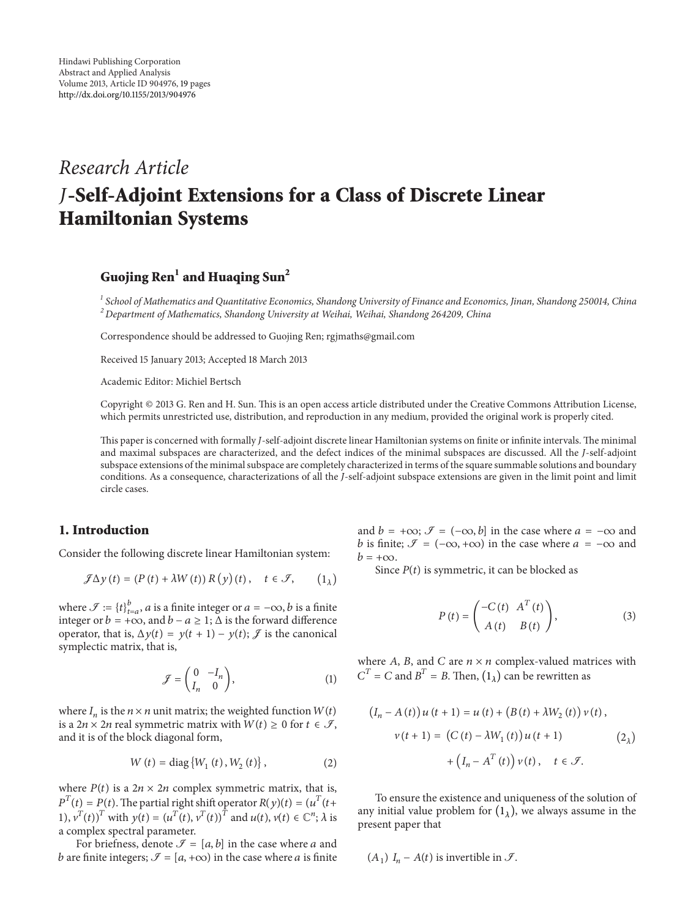# *Research Article* **-Self-Adjoint Extensions for a Class of Discrete Linear Hamiltonian Systems**

## **Guojing Ren<sup>1</sup> and Huaqing Sun<sup>2</sup>**

*<sup>1</sup> School of Mathematics and Quantitative Economics, Shandong University of Finance and Economics, Jinan, Shandong 250014, China <sup>2</sup> Department of Mathematics, Shandong University at Weihai, Weihai, Shandong 264209, China*

Correspondence should be addressed to Guojing Ren; rgjmaths@gmail.com

Received 15 January 2013; Accepted 18 March 2013

Academic Editor: Michiel Bertsch

Copyright © 2013 G. Ren and H. Sun. This is an open access article distributed under the Creative Commons Attribution License, which permits unrestricted use, distribution, and reproduction in any medium, provided the original work is properly cited.

This paper is concerned with formally *J*-self-adjoint discrete linear Hamiltonian systems on finite or infinite intervals. The minimal and maximal subspaces are characterized, and the defect indices of the minimal subspaces are discussed. All the *J*-self-adjoint subspace extensions of the minimal subspace are completely characterized in terms of the square summable solutions and boundary conditions. As a consequence, characterizations of all the *J*-self-adjoint subspace extensions are given in the limit point and limit circle cases.

### **1. Introduction**

Consider the following discrete linear Hamiltonian system:

$$
\mathcal{J}\Delta y\left(t\right) = \left(P\left(t\right) + \lambda W\left(t\right)\right)R\left(y\right)\left(t\right), \quad t \in \mathcal{F}, \qquad \left(1_{\lambda}\right)
$$

where  $\mathcal{F} := \{t\}_{t=a}^b$ , *a* is a finite integer or  $a = -\infty$ , *b* is a finite integer or  $b = +\infty$ , and  $b - a \ge 1$ ;  $\Delta$  is the forward difference operator, that is,  $\Delta y(t) = y(t + 1) - y(t)$ ;  $\mathcal{J}$  is the canonical symplectic matrix, that is,

$$
\mathcal{J} = \begin{pmatrix} 0 & -I_n \\ I_n & 0 \end{pmatrix},\tag{1}
$$

where  $I_n$  is the  $n \times n$  unit matrix; the weighted function  $W(t)$ is a  $2n \times 2n$  real symmetric matrix with  $W(t) \geq 0$  for  $t \in \mathcal{I}$ , and it is of the block diagonal form,

$$
W(t) = \text{diag}\{W_1(t), W_2(t)\},
$$
 (2)

where  $P(t)$  is a  $2n \times 2n$  complex symmetric matrix, that is,  $P^{T}(t) = P(t)$ . The partial right shift operator  $R(y)(t) = (u^{T}(t +$ 1),  $v^T(t)$ <sup>T</sup> with  $y(t) = (u^T(t), v^T(t))^T$  and  $u(t), v(t) \in \mathbb{C}^n$ ;  $\lambda$  is a complex spectral parameter.

For briefness, denote  $\mathcal{I} = [a, b]$  in the case where a and b are finite integers;  $\mathcal{I} = [a, +\infty)$  in the case where a is finite and  $b = +\infty$ ;  $\mathcal{I} = (-\infty, b]$  in the case where  $a = -\infty$  and *b* is finite;  $\mathcal{I} = (-\infty, +\infty)$  in the case where  $a = -\infty$  and  $b = +\infty$ .

Since  $P(t)$  is symmetric, it can be blocked as

$$
P(t) = \begin{pmatrix} -C(t) & A^{T}(t) \\ A(t) & B(t) \end{pmatrix},
$$
 (3)

where A, B, and C are  $n \times n$  complex-valued matrices with  $C^T = C$  and  $B^T = B$ . Then,  $(1_\lambda)$  can be rewritten as

$$
(I_n - A(t)) u(t+1) = u(t) + (B(t) + \lambda W_2(t)) v(t),
$$
  

$$
v(t+1) = (C(t) - \lambda W_1(t)) u(t+1)
$$
  

$$
+ (I_n - A^T(t)) v(t), \quad t \in \mathcal{F}.
$$
 (2<sub>\lambda</sub>)

To ensure the existence and uniqueness of the solution of any initial value problem for  $(1<sub>1</sub>)$ , we always assume in the present paper that

$$
(A_1) I_n - A(t)
$$
 is invertible in  $\mathcal{I}$ .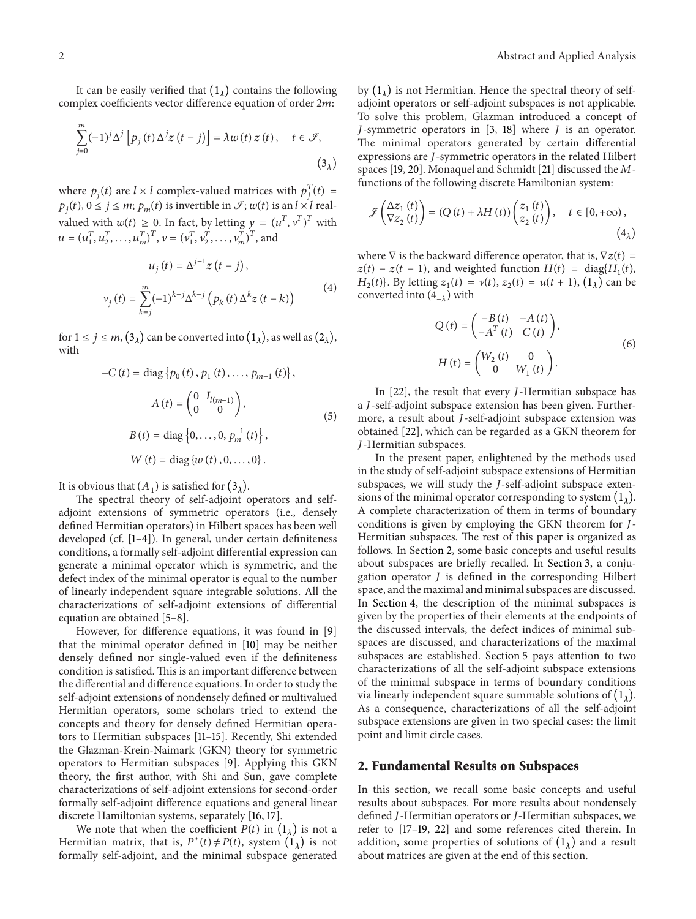It can be easily verified that  $(1<sub>\lambda</sub>)$  contains the following complex coefficients vector difference equation of order  $2m$ :

$$
\sum_{j=0}^{m} (-1)^{j} \Delta^{j} \left[ p_{j} \left( t \right) \Delta^{j} z \left( t - j \right) \right] = \lambda w \left( t \right) z \left( t \right), \quad t \in \mathcal{F},
$$
\n
$$
\tag{3}_{\lambda}
$$

where  $p_j(t)$  are  $l \times l$  complex-valued matrices with  $p_j^T(t) =$  $p_i(t)$ ,  $0 \le j \le m$ ;  $p_m(t)$  is invertible in  $\mathcal{I}$ ;  $w(t)$  is an  $l \times l$  realvalued with  $w(t) \ge 0$ . In fact, by letting  $y = (u^T, v^T)^T$  with  $u = (u_1^T, u_2^T, \dots, u_m^T)^T, v = (v_1^T, v_2^T, \dots, v_m^T)^T$ , and

$$
u_{j}(t) = \Delta^{j-1} z(t - j),
$$
  

$$
v_{j}(t) = \sum_{k=j}^{m} (-1)^{k-j} \Delta^{k-j} (p_{k}(t) \Delta^{k} z(t - k))
$$
 (4)

for  $1 \le j \le m$ ,  $(3_\lambda)$  can be converted into  $(1_\lambda)$ , as well as  $(2_\lambda)$ , with

$$
-C(t) = \text{diag} \{p_0(t), p_1(t), \dots, p_{m-1}(t)\},
$$

$$
A(t) = \begin{pmatrix} 0 & I_{l(m-1)} \\ 0 & 0 \end{pmatrix},
$$

$$
B(t) = \text{diag} \{0, \dots, 0, p_m^{-1}(t)\},
$$

$$
W(t) = \text{diag} \{w(t), 0, \dots, 0\}.
$$
 (5)

It is obvious that  $(A_1)$  is satisfied for  $(3_\lambda)$ .

The spectral theory of self-adjoint operators and selfadjoint extensions of symmetric operators (i.e., densely defined Hermitian operators) in Hilbert spaces has been well developed (cf. [1–4]). In general, under certain definiteness conditions, a formally self-adjoint differential expression can generate a minimal operator which is symmetric, and the defect index of the minimal operator is equal to the number of linearly independent square integrable solutions. All the characterizations of self-adjoint extensions of differential equation are obtained [5–8].

However, for difference equations, it was found in [9] that the minimal operator defined in [10] may be neither densely defined nor single-valued even if the definiteness condition is satisfied. This is an important difference between the differential and difference equations. In order to study the self-adjoint extensions of nondensely defined or multivalued Hermitian operators, some scholars tried to extend the concepts and theory for densely defined Hermitian operators to Hermitian subspaces [11–15]. Recently, Shi extended the Glazman-Krein-Naimark (GKN) theory for symmetric operators to Hermitian subspaces [9]. Applying this GKN theory, the first author, with Shi and Sun, gave complete characterizations of self-adjoint extensions for second-order formally self-adjoint difference equations and general linear discrete Hamiltonian systems, separately [16, 17].

We note that when the coefficient  $P(t)$  in  $(1<sub>\lambda</sub>)$  is not a Hermitian matrix, that is,  $P^*(t) \neq P(t)$ , system  $(1<sub>\lambda</sub>)$  is not formally self-adjoint, and the minimal subspace generated by  $(1_{\lambda})$  is not Hermitian. Hence the spectral theory of selfadjoint operators or self-adjoint subspaces is not applicable. To solve this problem, Glazman introduced a concept of *J*-symmetric operators in  $[3, 18]$  where *J* is an operator. The minimal operators generated by certain differential expressions are J-symmetric operators in the related Hilbert spaces [19, 20]. Monaquel and Schmidt [21] discussed the  $M$ functions of the following discrete Hamiltonian system:

$$
\mathcal{J}\begin{pmatrix} \Delta z_1(t) \\ \nabla z_2(t) \end{pmatrix} = (Q(t) + \lambda H(t)) \begin{pmatrix} z_1(t) \\ z_2(t) \end{pmatrix}, \quad t \in [0, +\infty),
$$
\n
$$
(4_\lambda)
$$

where  $\nabla$  is the backward difference operator, that is,  $\nabla z(t)$  =  $z(t) - z(t - 1)$ , and weighted function  $H(t) = \text{diag}\{H_1(t),$  $H_2(t)$ . By letting  $z_1(t) = v(t), z_2(t) = u(t + 1), (1_\lambda)$  can be converted into  $(4_{-1})$  with

$$
Q(t) = \begin{pmatrix} -B(t) & -A(t) \\ -A^{T}(t) & C(t) \end{pmatrix},
$$

$$
H(t) = \begin{pmatrix} W_2(t) & 0 \\ 0 & W_1(t) \end{pmatrix}.
$$
(6)

In  $[22]$ , the result that every *J*-Hermitian subspace has a *J*-self-adjoint subspace extension has been given. Furthermore, a result about *J*-self-adjoint subspace extension was obtained [22], which can be regarded as a GKN theorem for -Hermitian subspaces.

In the present paper, enlightened by the methods used in the study of self-adjoint subspace extensions of Hermitian subspaces, we will study the  $J$ -self-adjoint subspace extensions of the minimal operator corresponding to system  $(1_\lambda)$ . A complete characterization of them in terms of boundary conditions is given by employing the GKN theorem for J-Hermitian subspaces. The rest of this paper is organized as follows. In Section 2, some basic concepts and useful results about subspaces are briefly recalled. In Section 3, a conjugation operator  $J$  is defined in the corresponding Hilbert space, and the maximal and minimal subspaces are discussed. In Section 4, the description of the minimal subspaces is given by the properties of their elements at the endpoints of the discussed intervals, the defect indices of minimal subspaces are discussed, and characterizations of the maximal subspaces are established. Section 5 pays attention to two characterizations of all the self-adjoint subspace extensions of the minimal subspace in terms of boundary conditions via linearly independent square summable solutions of  $(1_{\lambda})$ . As a consequence, characterizations of all the self-adjoint subspace extensions are given in two special cases: the limit point and limit circle cases.

## **2. Fundamental Results on Subspaces**

In this section, we recall some basic concepts and useful results about subspaces. For more results about nondensely defined J-Hermitian operators or J-Hermitian subspaces, we refer to [17–19, 22] and some references cited therein. In addition, some properties of solutions of  $(1<sub>1</sub>)$  and a result about matrices are given at the end of this section.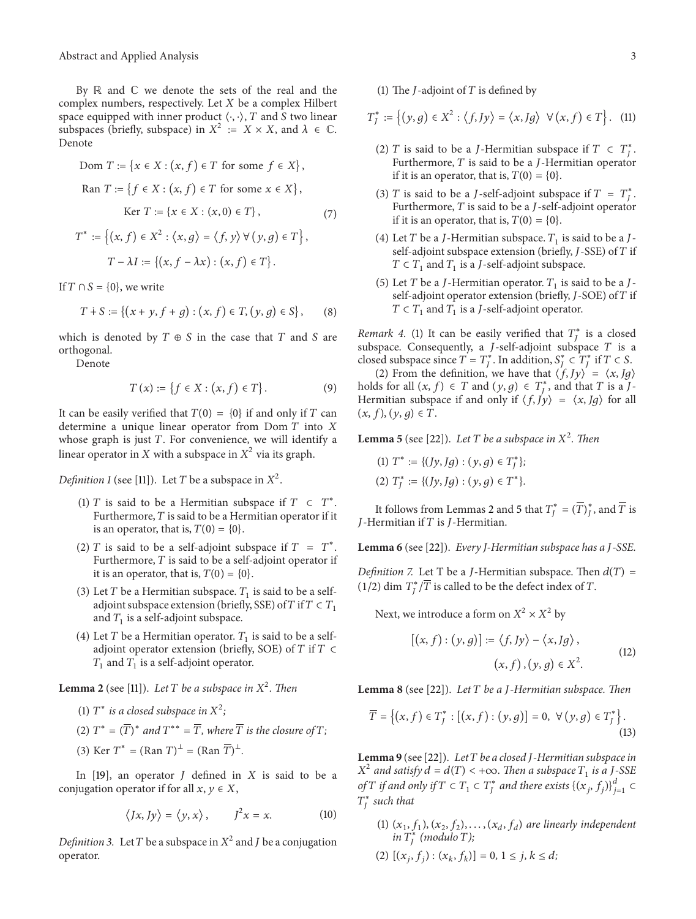By  $\mathbb R$  and  $\mathbb C$  we denote the sets of the real and the complex numbers, respectively. Let  $X$  be a complex Hilbert space equipped with inner product  $\langle \cdot, \cdot \rangle$ , T and S two linear subspaces (briefly, subspace) in  $X^2 := X \times X$ , and  $\lambda \in \mathbb{C}$ . Denote

Dom 
$$
T := \{x \in X : (x, f) \in T \text{ for some } f \in X\},
$$

\nRan  $T := \{f \in X : (x, f) \in T \text{ for some } x \in X\},$ 

\nKer  $T := \{x \in X : (x, 0) \in T\},$ 

\n $T^* := \{(x, f) \in X^2 : \langle x, g \rangle = \langle f, y \rangle \, \forall \, (y, g) \in T\},$ 

$$
T - \lambda I := \{(x, f - \lambda x) : (x, f) \in T\}
$$

If  $T \cap S = \{0\}$ , we write

$$
T + S := \{(x + y, f + g) : (x, f) \in T, (y, g) \in S\},\qquad(8)
$$

which is denoted by  $T \oplus S$  in the case that  $T$  and  $S$  are orthogonal.

Denote

$$
T(x) := \{ f \in X : (x, f) \in T \}.
$$
 (9)

It can be easily verified that  $T(0) = \{0\}$  if and only if T can determine a unique linear operator from Dom  $T$  into  $X$ whose graph is just  $T$ . For convenience, we will identify a linear operator in X with a subspace in  $X^2$  via its graph.

*Definition 1* (see [11]). Let *T* be a subspace in  $X^2$ .

- (1)  $T$  is said to be a Hermitian subspace if  $T \subset T^*$ . Furthermore,  $T$  is said to be a Hermitian operator if it is an operator, that is,  $T(0) = \{0\}.$
- (2)  $T$  is said to be a self-adjoint subspace if  $T = T^*$ . Furthermore,  $T$  is said to be a self-adjoint operator if it is an operator, that is,  $T(0) = \{0\}.$
- (3) Let T be a Hermitian subspace.  $T_1$  is said to be a selfadjoint subspace extension (briefly, SSE) of T if  $T \subset T_1$ and  $T_1$  is a self-adjoint subspace.
- (4) Let T be a Hermitian operator.  $T_1$  is said to be a selfadjoint operator extension (briefly, SOE) of  $T$  if  $T \subset$  $T_1$  and  $T_1$  is a self-adjoint operator.

**Lemma 2** (see [11]). Let T be a subspace in  $X^2$ . Then

(1)  $T^*$  *is a closed subspace in*  $X^2$ ;

(2) 
$$
T^* = (\overline{T})^*
$$
 and  $T^{**} = \overline{T}$ , where  $\overline{T}$  is the closure of  $T$ ;

(3) Ker  $T^* = (\text{Ran } T)^{\perp} = (\text{Ran } \overline{T})^{\perp}$ .

In  $[19]$ , an operator *J* defined in *X* is said to be a conjugation operator if for all  $x, y \in X$ ,

$$
\langle Jx, Jy \rangle = \langle y, x \rangle, \qquad J^2 x = x. \tag{10}
$$

*Definition 3.* Let *T* be a subspace in  $X^2$  and *J* be a conjugation operator.

#### (1) The  $J$ -adjoint of  $T$  is defined by

$$
T_f^* := \left\{ (y, g) \in X^2 : \langle f, Jy \rangle = \langle x, Jg \rangle \ \forall (x, f) \in T \right\}. \tag{11}
$$

- (2)  $T$  is said to be a *J*-Hermitian subspace if  $T \subset T_f^*$ . Furthermore,  $T$  is said to be a  $J$ -Hermitian operator if it is an operator, that is,  $T(0) = \{0\}.$
- (3) *T* is said to be a *J*-self-adjoint subspace if  $T = T_f^*$ . Furthermore,  $T$  is said to be a  $J$ -self-adjoint operator if it is an operator, that is,  $T(0) = \{0\}.$
- (4) Let T be a J-Hermitian subspace.  $T_1$  is said to be a Jself-adjoint subspace extension (briefly,  $J$ -SSE) of  $T$  if  $T \subset T_1$  and  $T_1$  is a *J*-self-adjoint subspace.
- (5) Let T be a J-Hermitian operator.  $T_1$  is said to be a Jself-adjoint operator extension (briefly,  $J$ -SOE) of  $T$  if  $T \subset T_1$  and  $T_1$  is a *J*-self-adjoint operator.

*Remark 4.* (1) It can be easily verified that  $T^*_J$  is a closed subspace. Consequently, a  $J$ -self-adjoint subspace  $T$  is a closed subspace since  $T = T_f^*$ . In addition,  $S_f^* \subset T_f^*$  if  $T \subset S$ .

(2) From the definition, we have that  $\langle f, Jy \rangle = \langle x, Jg \rangle$ holds for all  $(x, f) \in T$  and  $(y, g) \in T_j^*$ , and that T is a J-Hermitian subspace if and only if  $\langle f, Jy \rangle = \langle x, Jg \rangle$  for all  $(x, f), (y, g) \in T$ .

**Lemma 5** (see [22]). Let T be a subspace in  $X^2$ . Then

$$
\begin{aligned} (1)\ T^* &:= \{(Jy,Jg) : (y,g) \in T^*_J\};\\ (2)\ T^*_J &:= \{(Jy,Jg) : (y,g) \in T^*\}. \end{aligned}
$$

It follows from Lemmas 2 and 5 that  $T^*_J = (\overline{T})^*_J$ , and  $\overline{T}$  is  $J$ -Hermitian if  $T$  is  $J$ -Hermitian.

**Lemma 6** (see [22]). *Every J-Hermitian subspace has a -SSE.*

*Definition 7.* Let T be a *J*-Hermitian subspace. Then  $d(T)$  = (1/2) dim  $T_f^* / \overline{T}$  is called to be the defect index of T.

Next, we introduce a form on  $X^2 \times X^2$  by

$$
[(x, f) : (y, g)] := \langle f, Jy \rangle - \langle x, Jg \rangle,
$$
  

$$
(x, f), (y, g) \in X^2.
$$
 (12)

**Lemma 8** (see [22]). *Let be a -Hermitian subspace. Then*

$$
\overline{T} = \{(x, f) \in T_f^* : [(x, f) : (y, g)] = 0, \ \forall (y, g) \in T_f^*\}.
$$
\n(13)

**Lemma 9** (see [22]). *Letbe a closed -Hermitian subspace in*  $X^2$  and satisfy  $d = d(T) < +\infty$ . Then a subspace  $T_1$  is a J-SSE *of*  $T$  *if and only if*  $T \in T_1 \subset T^*_J$  *and there exists*  $\{(x_j, f_j)\}_{j=1}^d \subset$ ∗ *such that*

(1)  $(x_1, f_1), (x_2, f_2), \ldots, (x_d, f_d)$  are linearly independent  $in T_J^*$  (*modulo T*);

$$
(2) [(x_j, f_j) : (x_k, f_k)] = 0, 1 \le j, k \le d;
$$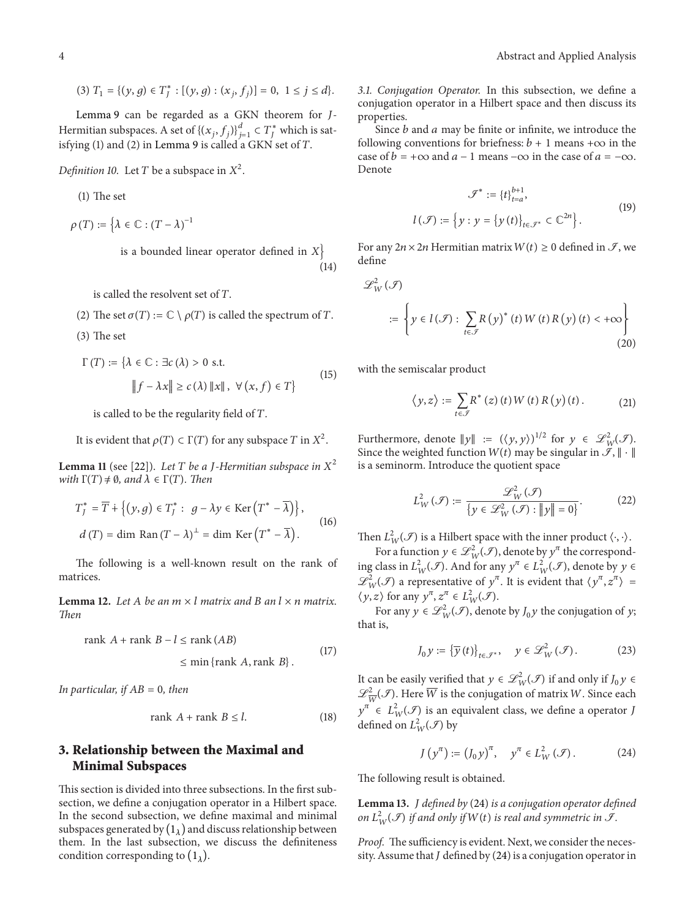(3) 
$$
T_1 = \{(y, g) \in T_j^* : [(y, g) : (x_j, f_j)] = 0, 1 \le j \le d\}.
$$

Lemma 9 can be regarded as a GKN theorem for J-Hermitian subspaces. A set of  $\{(x_j, f_j)\}_{j=1}^d \subset T^*_J$  which is satisfying (1) and (2) in Lemma 9 is called a GKN set of  $T$ .

*Definition 10.* Let *T* be a subspace in  $X^2$ .

(1) The set

 $\rho(T) := \big\{\lambda \in \mathbb{C} : \left(T - \lambda\right)^{-1}$ 

is a bounded linear operator defined in  $X$ (14)

is called the resolvent set of  $T$ .

- (2) The set  $\sigma(T) := \mathbb{C} \setminus \rho(T)$  is called the spectrum of T.
- (3) The set

$$
\Gamma(T) := \{ \lambda \in \mathbb{C} : \exists c (\lambda) > 0 \text{ s.t. } \mathbb{I}f - \lambda x \parallel \ge c(\lambda) \parallel x \parallel, \ \forall (x, f) \in T \}
$$
\n
$$
(15)
$$

is called to be the regularity field of  $T$ .

It is evident that 
$$
\rho(T) \subset \Gamma(T)
$$
 for any subspace  $T$  in  $X^2$ .

**Lemma 11** (see [22]). Let T be a J-Hermitian subspace in  $X^2$ *with*  $\Gamma(T) \neq \emptyset$ *, and*  $\lambda \in \Gamma(T)$ *. Then* 

$$
T_f^* = \overline{T} + \{ (y, g) \in T_f^* : g - \lambda y \in \text{Ker} \left( T^* - \overline{\lambda} \right) \},
$$
  

$$
d(T) = \dim \text{Ran} \left( T - \lambda \right)^{\perp} = \dim \text{Ker} \left( T^* - \overline{\lambda} \right).
$$
 (16)

The following is a well-known result on the rank of matrices.

**Lemma 12.** Let A be an  $m \times l$  matrix and B an  $l \times n$  matrix. *Then*

rank + rank −≤ rank () <sup>≤</sup> min {rank ,rank }. (17)

*In particular, if*  $AB = 0$ *, then* 

$$
rank A + rank B \le l. \tag{18}
$$

## **3. Relationship between the Maximal and Minimal Subspaces**

This section is divided into three subsections. In the first subsection, we define a conjugation operator in a Hilbert space. In the second subsection, we define maximal and minimal subspaces generated by  $(1_\lambda)$  and discuss relationship between them. In the last subsection, we discuss the definiteness condition corresponding to  $(1_\lambda)$ .

*3.1. Conjugation Operator.* In this subsection, we define a conjugation operator in a Hilbert space and then discuss its properties.

Since  $b$  and  $a$  may be finite or infinite, we introduce the following conventions for briefness:  $b+1$  means + $\infty$  in the case of  $b = +\infty$  and  $a - 1$  means  $-\infty$  in the case of  $a = -\infty$ . Denote

$$
\mathcal{F}^* := \{t\}_{t=a}^{b+1},
$$

$$
l(\mathcal{F}) := \left\{ y : y = \left\{ y(t) \right\}_{t \in \mathcal{F}^*} \subset \mathbb{C}^{2n} \right\}. \tag{19}
$$

For any  $2n \times 2n$  Hermitian matrix  $W(t) \ge 0$  defined in  $\mathcal{I}$ , we define

$$
\mathcal{L}_{W}^{2}(\mathcal{F})
$$
  
 := 
$$
\left\{ y \in l(\mathcal{F}) : \sum_{t \in \mathcal{F}} R(y)^{*}(t) W(t) R(y)(t) < +\infty \right\}
$$
 (20)

with the semiscalar product

$$
\langle y, z \rangle := \sum_{t \in \mathcal{F}} R^* \left( z \right) \left( t \right) W \left( t \right) R \left( y \right) \left( t \right). \tag{21}
$$

Furthermore, denote  $||y|| := (\langle y, y \rangle)^{1/2}$  for  $y \in \mathcal{L}^2_W(\mathcal{F})$ . Since the weighted function  $W(t)$  may be singular in  $\mathcal{I}, \|\cdot\|$ is a seminorm. Introduce the quotient space

$$
L_W^2(\mathcal{F}) := \frac{\mathcal{L}_W^2(\mathcal{F})}{\{y \in \mathcal{L}_W^2(\mathcal{F}) : ||y|| = 0\}}.
$$
 (22)

Then  $L^2_W(\mathcal{F})$  is a Hilbert space with the inner product  $\langle \cdot, \cdot \rangle$ .

For a function  $y \in \mathcal{L}_W^2(\mathcal{I})$ , denote by  $y^{\pi}$  the corresponding class in  $L^2_W(\mathcal{F})$ . And for any  $y^{\pi} \in L^2_W(\mathcal{F})$ , denote by  $y \in$  $\mathscr{L}_{W}^{2}(\mathscr{I})$  a representative of  $y^{\pi}$ . It is evident that  $\langle y^{\pi}, z^{\pi} \rangle =$  $\langle y, z \rangle$  for any  $y^{\pi}, z^{\pi} \in L^2_W(\mathcal{F})$ .

For any  $y \in \mathcal{L}_W^2(\mathcal{F})$ , denote by  $J_0 y$  the conjugation of  $y$ ; that is,

$$
J_0 y := \left\{ \overline{y}(t) \right\}_{t \in \mathcal{F}^*}, \quad y \in \mathcal{L}_W^2(\mathcal{F}). \tag{23}
$$

It can be easily verified that  $y \in \mathcal{L}_W^2(\mathcal{F})$  if and only if  $J_0 y \in$  $\mathscr{L}_{\overline{W}}^2(\mathscr{I})$ . Here  $\overline{W}$  is the conjugation of matrix W. Since each  $y^{\pi} \in L^2_W(\mathcal{F})$  is an equivalent class, we define a operator J defined on  $L^2_W(\mathcal{I})$  by

$$
J\left(y^{n}\right) := \left(J_{0}y\right)^{n}, \quad y^{n} \in L_{W}^{2}\left(\mathcal{F}\right). \tag{24}
$$

The following result is obtained.

**Lemma 13.** *defined by* (24) *is a conjugation operator defined on*  $L^2_W(\mathcal{F})$  *if and only if*  $W(t)$  *is real and symmetric in*  $\mathcal{F}$ *.* 

*Proof.* The sufficiency is evident. Next, we consider the necessity. Assume that  $J$  defined by (24) is a conjugation operator in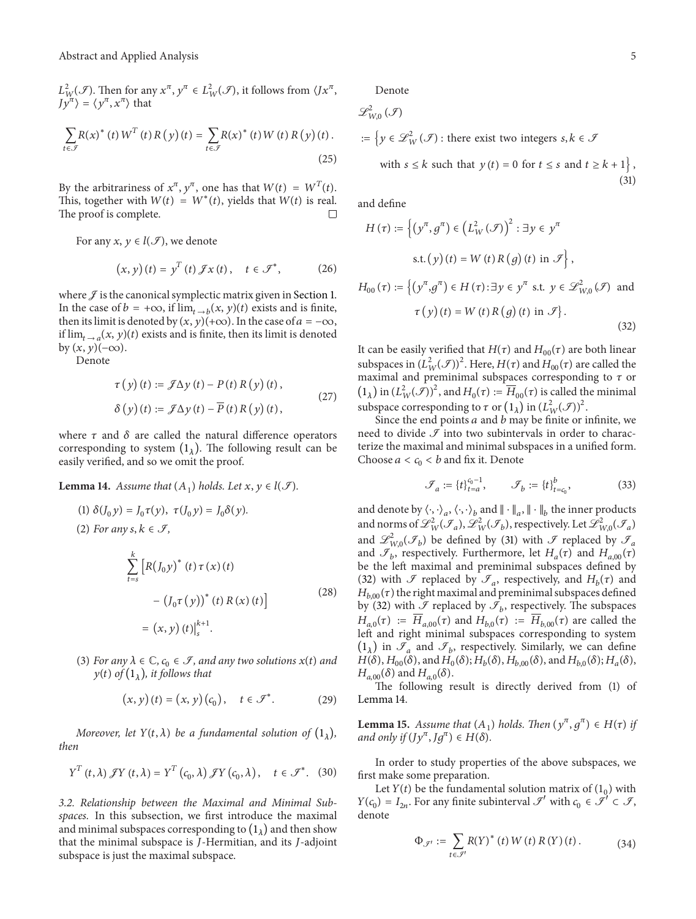$L^2_{W}(\mathcal{F})$ . Then for any  $x^\pi$ ,  $y^\pi \in L^2_{W}(\mathcal{F})$ , it follows from  $\langle Jx^\pi, \rangle$  $\langle y^\pi \rangle = \langle y^\pi, x^\pi \rangle$  that

$$
\sum_{t \in \mathcal{F}} R(x)^{*}(t) W^{T}(t) R(y) (t) = \sum_{t \in \mathcal{F}} R(x)^{*}(t) W(t) R(y) (t).
$$
\n(25)

By the arbitrariness of  $x^{\pi}$ ,  $y^{\pi}$ , one has that  $W(t) = W^{T}(t)$ . This, together with  $W(t) = W^*(t)$ , yields that  $W(t)$  is real. The proof is complete.

For any  $x, y \in l(\mathcal{J})$ , we denote

$$
(x, y)(t) = yT(t) \mathcal{F}x(t), \quad t \in \mathcal{F}^*, \tag{26}
$$

where  $\mathcal{J}$  is the canonical symplectic matrix given in Section 1. In the case of  $b = +\infty$ , if  $\lim_{t \to b} (x, y)(t)$  exists and is finite, then its limit is denoted by  $(x, y)(+\infty)$ . In the case of  $a = -\infty$ , if  $\lim_{t\to a}(x, y)(t)$  exists and is finite, then its limit is denoted by  $(x, y)(-\infty)$ .

Denote

 $(2)$ 

$$
\tau(y)(t) := \mathcal{J}\Delta y(t) - P(t) R(y)(t),
$$
  
\n
$$
\delta(y)(t) := \mathcal{J}\Delta y(t) - \overline{P}(t) R(y)(t),
$$
\n(27)

where  $\tau$  and  $\delta$  are called the natural difference operators corresponding to system  $(1_{\lambda})$ . The following result can be easily verified, and so we omit the proof.

**Lemma 14.** *Assume that*  $(A_1)$  *holds. Let*  $x, y \in l(\mathcal{F})$ *.* 

(1) 
$$
\delta(J_0 y) = J_0 \tau(y), \ \tau(J_0 y) = J_0 \delta(y).
$$
  
\n(2) For any  $s, k \in \mathcal{F}$ ,  
\n
$$
\sum_{t=s}^{k} [R(J_0 y)^* (t) \tau(x) (t) - (J_0 \tau(y))^* (t) R(x) (t)]
$$
\n
$$
= (x, y) (t)|_s^{k+1}.
$$
\n(28)

(3) *For any*  $\lambda \in \mathbb{C}$ ,  $c_0 \in \mathcal{I}$ , and any two solutions  $x(t)$  and  $y(t)$  of  $(1<sub>\lambda</sub>)$ *, it follows that* 

$$
(x, y)(t) = (x, y)(c0), \quad t \in \mathcal{F}^*.
$$
 (29)

*Moreover, let*  $Y(t, \lambda)$  *be a fundamental solution of*  $(1_{\lambda})$ *, then*

$$
Y^{T}(t,\lambda) \mathscr{J} Y(t,\lambda) = Y^{T}(c_{0},\lambda) \mathscr{J} Y(c_{0},\lambda), \quad t \in \mathscr{I}^{*}.
$$
 (30)

*3.2. Relationship between the Maximal and Minimal Subspaces.* In this subsection, we first introduce the maximal and minimal subspaces corresponding to  $(1_{\lambda})$  and then show that the minimal subspace is  $J$ -Hermitian, and its  $J$ -adjoint subspace is just the maximal subspace.

Denote

$$
\mathcal{L}_{W,0}^{2}(\mathcal{F})
$$
  
 := { $y \in \mathcal{L}_{W}^{2}(\mathcal{F})$ : there exist two integers  $s, k \in \mathcal{F}$   
 with  $s \leq k$  such that  $y(t) = 0$  for  $t \leq s$  and  $t \geq k + 1$  }, (31)

and define

$$
H(\tau) := \left\{ (y^{\pi}, g^{\pi}) \in (L^2_W(\mathcal{F}))^2 : \exists y \in y^{\pi} \text{ s.t. } (y) (t) = W(t) R(g) (t) \text{ in } \mathcal{F} \right\},\
$$

$$
H_{00}(\tau) := \left\{ (y^{\pi}, g^{\pi}) \in H(\tau) : \exists y \in y^{\pi} \text{ s.t. } y \in \mathcal{L}^2_{W,0}(\mathcal{F}) \text{ and }
$$

$$
\tau(y) (t) = W(t) R(g) (t) \text{ in } \mathcal{F} \right\}.
$$
(32)

It can be easily verified that  $H(\tau)$  and  $H_{00}(\tau)$  are both linear subspaces in  $(L^2_W(\mathcal{F}))^2$ . Here,  $H(\tau)$  and  $H_{00}(\tau)$  are called the maximal and preminimal subspaces corresponding to  $\tau$  or  $(1_\lambda)$  in  $(L^2_W(\mathcal{F}))^2$ , and  $H_0(\tau) := \overline{H}_{00}(\tau)$  is called the minimal subspace corresponding to  $\tau$  or  $(1_\lambda)$  in  $(L^2_W(\mathcal{F}))^2$ .

Since the end points  $a$  and  $b$  may be finite or infinite, we need to divide  $\mathcal I$  into two subintervals in order to characterize the maximal and minimal subspaces in a unified form. Choose  $a < c_0 < b$  and fix it. Denote

$$
\mathcal{F}_a := \{t\}_{t=a}^{c_0 - 1}, \qquad \mathcal{F}_b := \{t\}_{t=c_0}^b, \tag{33}
$$

and denote by  $\langle \cdot, \cdot \rangle_a$ ,  $\langle \cdot, \cdot \rangle_b$  and  $\|\cdot\|_a$ ,  $\|\cdot\|_b$  the inner products and norms of  $\mathscr{L}^2_W(\mathscr{I}_a)$ ,  $\mathscr{L}^2_W(\mathscr{I}_b)$ , respectively. Let  $\mathscr{L}^2_{W,0}(\mathscr{I}_a)$ and  $\mathscr{L}_{W,0}^2(\mathscr{I}_b)$  be defined by (31) with  $\mathscr{I}$  replaced by  $\mathscr{I}_a$ and  $\mathcal{I}_b$ , respectively. Furthermore, let  $H_a(\tau)$  and  $H_{a,00}(\tau)$ be the left maximal and preminimal subspaces defined by (32) with  $\mathcal F$  replaced by  $\mathcal F_a$ , respectively, and  $H_b(\tau)$  and  $H_{b,00}(\tau)$  the right maximal and preminimal subspaces defined by (32) with  $\mathcal I$  replaced by  $\mathcal I_b$ , respectively. The subspaces  $H_{a,0}(\tau) := \overline{H}_{a,00}(\tau)$  and  $H_{b,0}(\tau) := \overline{H}_{b,00}(\tau)$  are called the left and right minimal subspaces corresponding to system  $(1_{\lambda})$  in  $\mathcal{F}_a$  and  $\mathcal{F}_b$ , respectively. Similarly, we can define  $H(\delta)$ ,  $H_{00}(\delta)$ , and  $H_0(\delta)$ ;  $H_b(\delta)$ ,  $H_{b,00}(\delta)$ , and  $H_{b,0}(\delta)$ ;  $H_a(\delta)$ ,  $H_{a,00}(\delta)$  and  $H_{a,0}(\delta)$ .

The following result is directly derived from (1) of Lemma 14.

**Lemma 15.** *Assume that*  $(A_1)$  *holds. Then*  $(y^{\pi}, g^{\pi}) \in H(\tau)$  *if and only if*  $(Jy^{\pi}, Jg^{\pi}) \in H(\delta)$ *.* 

In order to study properties of the above subspaces, we first make some preparation.

Let  $Y(t)$  be the fundamental solution matrix of  $(1_0)$  with  $Y(c_0) = I_{2n}$ . For any finite subinterval  $\mathcal{I}'$  with  $c_0 \in \mathcal{I}' \subset \mathcal{I}$ , denote

$$
\Phi_{\mathcal{J}'} := \sum_{t \in \mathcal{J}'} R(Y)^* (t) W (t) R (Y) (t).
$$
 (34)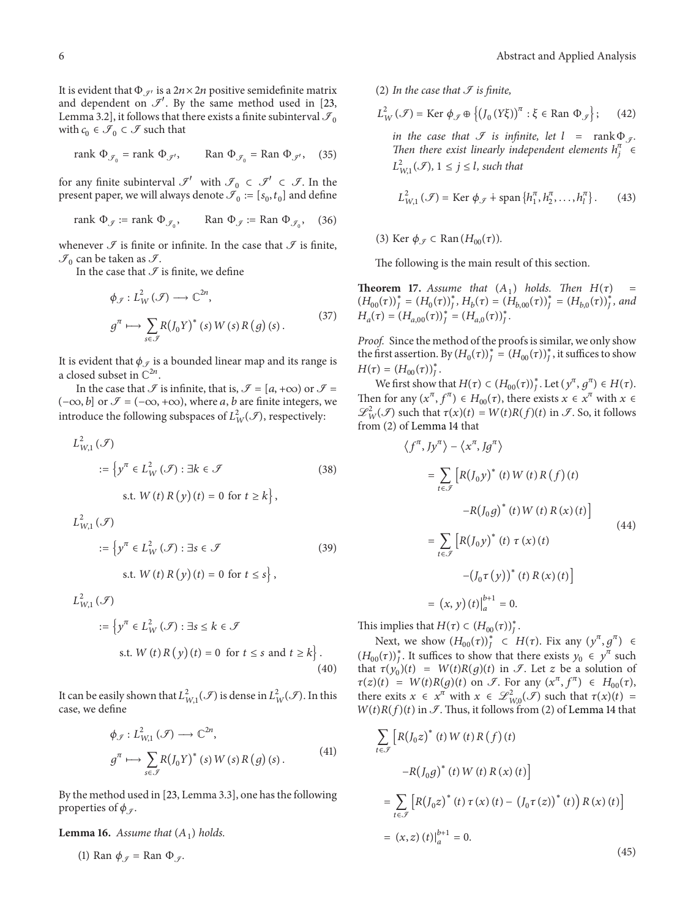It is evident that  $\Phi_{\mathcal{I}}$  is a  $2n \times 2n$  positive semidefinite matrix and dependent on  $\mathcal{I}'$ . By the same method used in [23, Lemma 3.2], it follows that there exists a finite subinterval  $\mathcal{I}_0$ with  $c_0 \in \mathcal{I}_0 \subset \mathcal{I}$  such that

rank 
$$
\Phi_{\mathcal{J}_0}
$$
 = rank  $\Phi_{\mathcal{J}'}$ , Ran  $\Phi_{\mathcal{J}_0}$  = Ran  $\Phi_{\mathcal{J}'}$ , (35)

for any finite subinterval  $\mathcal{I}'$  with  $\mathcal{I}_0 \subset \mathcal{I}' \subset \mathcal{I}$ . In the present paper, we will always denote  $\mathcal{I}_0 := [s_0, t_0]$  and define

$$
rank \Phi_{\mathcal{J}} := rank \Phi_{\mathcal{J}_0}, \qquad Ran \Phi_{\mathcal{J}} := Ran \Phi_{\mathcal{J}_0}, \quad (36)
$$

whenever  $\mathcal F$  is finite or infinite. In the case that  $\mathcal F$  is finite,  $\mathcal{I}_0$  can be taken as  $\mathcal{I}$ .

In the case that  $\mathcal I$  is finite, we define

$$
\phi_{\mathcal{J}}: L^2_W(\mathcal{J}) \longrightarrow \mathbb{C}^{2n},
$$
  

$$
g^{\pi} \longmapsto \sum_{s \in \mathcal{J}} R(J_0 Y)^*(s) W(s) R(g)(s).
$$
 (37)

It is evident that  $\phi_{\sigma}$  is a bounded linear map and its range is a closed subset in  $\mathbb{C}^{2n}$ .

In the case that  $\mathcal I$  is infinite, that is,  $\mathcal I = [a, +\infty)$  or  $\mathcal I =$  $(-\infty, b]$  or  $\mathcal{I} = (-\infty, +\infty)$ , where *a*, *b* are finite integers, we introduce the following subspaces of  $L^2_W(\mathscr{I}),$  respectively:

$$
L_{W,1}^{2}(\mathcal{F})
$$
  
 := { $y^{\pi} \in L_{W}^{2}(\mathcal{F}) : \exists k \in \mathcal{F}$  (38)

s.t. *W* (*t*) *R* (*y*) (*t*) = 0 for 
$$
t \ge k
$$

$$
L_{W,1}^{2}(\mathcal{F})
$$
  
 := { $y^{\pi} \in L_{W}^{2}(\mathcal{F}) : \exists s \in \mathcal{F}$  (39)  
s.t.  $W(t) R(y)(t) = 0$  for  $t \le s$ },

$$
L_{W,1}^{2}(\mathcal{F})
$$
  
 := { $y^{n} \in L_{W}^{2}(\mathcal{F}) : \exists s \le k \in \mathcal{F}$   
s.t.  $W(t) R(y)(t) = 0$  for  $t \le s$  and  $t \ge k$  }. (40)

It can be easily shown that  $L^2_{W,1}(\mathscr{I})$  is dense in  $L^2_W(\mathscr{I})$ . In this case, we define

$$
\phi_{\mathcal{J}}: L^2_{W,1}(\mathcal{J}) \longrightarrow \mathbb{C}^{2n},
$$
\n
$$
g^{\pi} \longmapsto \sum_{s \in \mathcal{J}} R(J_0 Y)^* (s) W(s) R(g) (s).
$$
\n
$$
(41)
$$

By the method used in [23, Lemma 3.3], one has the following properties of  $\phi_{\mathcal{I}}$ .

**Lemma 16.** Assume that  $(A_1)$  holds.

(1) Ran  $\phi_g$  = Ran  $\Phi_g$ .

(2) In the case that  $\mathcal I$  *is finite*,

$$
L_W^2(\mathcal{F}) = \text{Ker }\phi_{\mathcal{F}} \oplus \left\{ (J_0(Y\xi))^{\pi} : \xi \in \text{Ran }\Phi_{\mathcal{F}} \right\};\qquad(42)
$$

*in the case that*  $\mathcal{F}$  *is infinite, let*  $l = \text{rank } \Phi_{\mathcal{F}}$ . *Then there exist linearly independent elements*  $h_j^{\pi}$   $\in$  $L^2_{W,1}(\mathcal{F}), 1 \le j \le l$ , such that

$$
L_{W,1}^{2}(\mathcal{F}) = \text{Ker }\phi_{\mathcal{F}} \dot{+} \text{span}\left\{h_{1}^{\pi}, h_{2}^{\pi}, \dots, h_{l}^{\pi}\right\}.
$$
 (43)

(3) Ker  $\phi_{\tau} \subset \text{Ran}(H_{00}(\tau)).$ 

The following is the main result of this section.

**Theorem 17.** *Assume that*  $(A_1)$  *holds. Then*  $H(\tau)$  $(H_{00}(\tau))_{J}^{*} = (H_{0}(\tau))_{J}^{*}, H_{b}(\tau) = (H_{b,00}(\tau))_{J}^{*} = (H_{b,0}(\tau))_{J}^{*},$  and  $H_a(\tau) = (H_{a,00}(\tau))_J^* = (H_{a,0}(\tau))_J^*$ .

*Proof.* Since the method of the proofs is similar, we only show the first assertion. By  $(H_0(\tau))_f^* = (H_{00}(\tau))_f^*$ , it suffices to show  $H(\tau) = (H_{00}(\tau))_{J}^{*}.$ 

We first show that  $H(\tau) \subset (H_{00}(\tau))_j^*$ . Let  $(y^{\pi}, g^{\pi}) \in H(\tau)$ . Then for any  $(x^{\pi}, f^{\pi}) \in H_{00}(\tau)$ , there exists  $x \in x^{\pi}$  with  $x \in$  $\mathscr{L}_W^2(\mathscr{I})$  such that  $\tau(x)(t) = W(t)R(f)(t)$  in  $\mathscr{I}$ . So, it follows from (2) of Lemma 14 that

$$
\langle f^{\pi}, Jy^{\pi} \rangle - \langle x^{\pi}, Jg^{\pi} \rangle
$$
  
\n
$$
= \sum_{t \in \mathcal{F}} \left[ R(J_0 y)^* (t) W(t) R(f) (t) -R(J_0 g)^* (t) W(t) R(x) (t) \right]
$$
  
\n
$$
= \sum_{t \in \mathcal{F}} \left[ R(J_0 y)^* (t) \tau (x) (t) - (J_0 \tau (y))^* (t) R(x) (t) \right]
$$
  
\n
$$
= (x, y) (t)|_a^{b+1} = 0.
$$

This implies that  $H(\tau) \subset (H_{00}(\tau))_{J}^*$ .

Next, we show  $(H_{00}(\tau))_{J}^{*} \subset H(\tau)$ . Fix any  $(y^{\pi}, g^{\pi}) \in$  $(H_{00}(\tau))_{J}^*$ . It suffices to show that there exists  $y_0 \in y^{\pi}$  such that  $\tau(y_0)(t) = W(t)R(g)(t)$  in  $\mathcal{I}$ . Let z be a solution of  $\tau(z)(t) = W(t)R(g)(t)$  on *F*. For any  $(x^{\pi}, f^{\pi}) \in H_{00}(\tau)$ , there exits  $x \in x^{\pi}$  with  $x \in \mathcal{L}_{W,0}^2(\mathcal{F})$  such that  $\tau(x)(t) =$  $W(t)R(f)(t)$  in  $\mathcal{I}$ . Thus, it follows from (2) of Lemma 14 that

$$
\sum_{t \in \mathcal{F}} \left[ R(J_0 z)^* (t) W(t) R(f) (t) - R(J_0 g)^* (t) W(t) R(x) (t) \right]
$$
  
= 
$$
\sum_{t \in \mathcal{F}} \left[ R(J_0 z)^* (t) \tau (x) (t) - (J_0 \tau (z))^* (t) \right] R(x) (t) \right]
$$
  
= 
$$
(x, z) (t) \Big|_{a}^{b+1} = 0.
$$
 (45)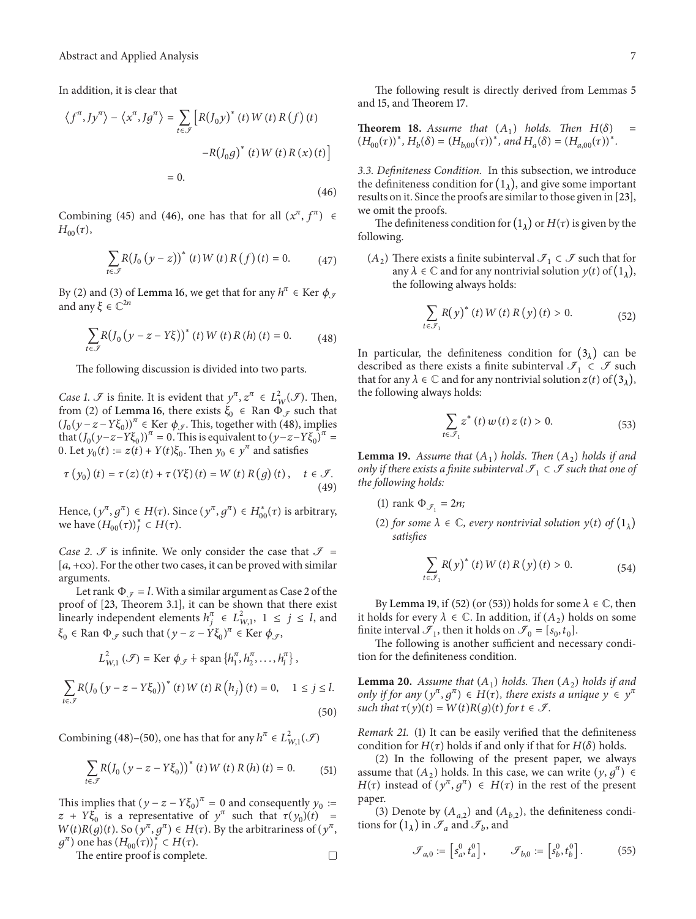In addition, it is clear that

$$
\langle f^{\pi}, Jy^{\pi} \rangle - \langle x^{\pi}, Jg^{\pi} \rangle = \sum_{t \in \mathcal{F}} \left[ R(J_0 y)^* (t) W(t) R(f) (t) - R(J_0 g)^* (t) W(t) R(x) (t) \right]
$$
  
= 0. (46)

Combining (45) and (46), one has that for all  $(x^\pi, f^\pi) \in$  $H_{00}(\tau)$ ,

$$
\sum_{t \in \mathcal{J}} R (J_0 (y - z))^* (t) W (t) R (f) (t) = 0.
$$
 (47)

By (2) and (3) of Lemma 16, we get that for any  $h^{\pi} \in \text{Ker } \phi_{\mathcal{F}}$ and any  $\xi \in \mathbb{C}^{2n}$ 

$$
\sum_{t \in \mathcal{J}} R (J_0 (y - z - Y \xi))^* (t) W (t) R (h) (t) = 0.
$$
 (48)

The following discussion is divided into two parts.

*Case 1.*  $\mathcal{F}$  is finite. It is evident that  $y^{\pi}, z^{\pi} \in L^2_W(\mathcal{F})$ . Then, from (2) of Lemma 16, there exists  $\xi_0 \in \text{Ran } \Phi_{\mathcal{J}}$  such that  $(J_0(y-z-Y\xi_0))^{\pi} \in \text{Ker } \phi_{\mathscr{I}}$ . This, together with (48), implies that  $(J_0(y-z-Y\xi_0))^{\pi} = 0$ . This is equivalent to  $(y-z-Y\xi_0)^{\pi} =$ 0. Let  $y_0(t) := z(t) + Y(t)\xi_0$ . Then  $y_0 \in y^\pi$  and satisfies

$$
\tau(y_0)(t) = \tau(z)(t) + \tau(Y\xi)(t) = W(t) R(g)(t), \quad t \in \mathcal{F}.
$$
\n(49)

Hence,  $(y^{\pi}, g^{\pi}) \in H(\tau)$ . Since  $(y^{\pi}, g^{\pi}) \in H_{00}^*(\tau)$  is arbitrary, we have  $(H_{00}(\tau))_{J}^{*} \subset H(\tau)$ .

*Case 2.*  $\Im$  is infinite. We only consider the case that  $\Im$  =  $[a, +\infty)$ . For the other two cases, it can be proved with similar arguments.

Let rank  $\Phi_{\mathcal{J}} = l$ . With a similar argument as Case 2 of the proof of [23, Theorem 3.1], it can be shown that there exist linearly independent elements  $h_j^{\pi} \in L_{W,1}^2$ ,  $1 \le j \le l$ , and  $\xi_0 \in \text{Ran }\Phi_{\mathcal{J}} \text{ such that } (y - z - Y\xi_0)^{\pi} \in \text{Ker } \phi_{\mathcal{J}},$ 

$$
L_{W,1}^{2}(\mathcal{F}) = \text{Ker }\phi_{\mathcal{F}} + \text{span }\{h_{1}^{\pi}, h_{2}^{\pi}, \ldots, h_{l}^{\pi}\},
$$

$$
\sum_{t \in \mathcal{J}} R (J_0 (y - z - Y \xi_0))^* (t) W (t) R (h_j) (t) = 0, \quad 1 \le j \le l.
$$
\n(50)

Combining (48)–(50), one has that for any  $h^{\pi} \in L^2_{W,1}(\mathcal{F})$ 

$$
\sum_{t \in \mathcal{F}} R (J_0 (y - z - Y \xi_0))^* (t) W (t) R (h) (t) = 0.
$$
 (51)

This implies that  $(y - z - Y\xi_0)^{\pi} = 0$  and consequently  $y_0$  :=  $z + Y\xi_0$  is a representative of  $y^{\pi}$  such that  $\tau(y_0)(t) =$  $W(t)R(g)(t)$ . So  $(y^{\pi}, g^{\pi}) \in H(\tau)$ . By the arbitrariness of  $(y^{\pi}, g^{\pi})$ .  $g^{\pi}$ ) one has  $(H_{00}(\tau))_J^* \subset H(\tau)$ .

The entire proof is complete.

The following result is directly derived from Lemmas 5 and 15, and Theorem 17.

**Theorem 18.** Assume that  $(A_1)$  holds. Then  $H(\delta)$  =  $(H_{00}(\tau))^*$ ,  $H_b(\delta) = (H_{b,00}(\tau))^*$ , and  $H_a(\delta) = (H_{a,00}(\tau))^*$ .

*3.3. Definiteness Condition.* In this subsection, we introduce the definiteness condition for  $(1_{\lambda})$ , and give some important results on it. Since the proofs are similar to those given in [23], we omit the proofs.

The definiteness condition for  $(1_{\lambda})$  or  $H(\tau)$  is given by the following.

 $(A_2)$  There exists a finite subinterval  $\mathcal{I}_1 \subset \mathcal{I}$  such that for any  $\lambda \in \mathbb{C}$  and for any nontrivial solution  $y(t)$  of  $(1_{\lambda})$ , the following always holds:

$$
\sum_{t \in \mathcal{F}_1} R(y)^*(t) W(t) R(y)(t) > 0.
$$
 (52)

In particular, the definiteness condition for  $(3<sub>\lambda</sub>)$  can be described as there exists a finite subinterval  $\mathcal{I}_1 \subset \mathcal{I}$  such that for any  $\lambda \in \mathbb{C}$  and for any nontrivial solution  $z(t)$  of  $(3_{\lambda})$ , the following always holds:

$$
\sum_{t \in \mathcal{F}_1} z^*(t) w(t) z(t) > 0.
$$
 (53)

**Lemma 19.** Assume that  $(A_1)$  holds. Then  $(A_2)$  holds if and *only if there exists a finite subinterval*  $\mathcal{F}_1 \subset \mathcal{F}$  *such that one of the following holds:*

- (1) rank  $\Phi_{\mathcal{J}_1} = 2n$ ;
- (2) *for some*  $\lambda \in \mathbb{C}$ *, every nontrivial solution*  $y(t)$  *of*  $(1_{\lambda})$ *satisfies*

$$
\sum_{t \in \mathcal{F}_1} R(y)^*(t) W(t) R(y)(t) > 0.
$$
 (54)

By Lemma 19, if (52) (or (53)) holds for some  $\lambda \in \mathbb{C}$ , then it holds for every  $\lambda \in \mathbb{C}$ . In addition, if  $(A_2)$  holds on some finite interval  $\mathcal{I}_1$ , then it holds on  $\mathcal{I}_0 = [s_0, t_0]$ .

The following is another sufficient and necessary condition for the definiteness condition.

**Lemma 20.** *Assume that*  $(A_1)$  *holds. Then*  $(A_2)$  *holds if and only if for any*  $(y^{\pi}, g^{\pi}) \in H(\tau)$ , there exists a unique  $y \in y^{\pi}$ *such that*  $\tau(y)(t) = W(t)R(g)(t)$  *for*  $t \in \mathcal{F}$ *.* 

*Remark 21.* (1) It can be easily verified that the definiteness condition for  $H(\tau)$  holds if and only if that for  $H(\delta)$  holds.

(2) In the following of the present paper, we always assume that  $(A_2)$  holds. In this case, we can write  $(y, g^{\pi}) \in$  $H(\tau)$  instead of  $(y^{\pi}, g^{\pi}) \in H(\tau)$  in the rest of the present paper.

(3) Denote by  $(A_{a,2})$  and  $(A_{b,2})$ , the definiteness conditions for  $(1_\lambda)$  in  $\mathcal{I}_a$  and  $\mathcal{I}_b$ , and

$$
\mathcal{F}_{a,0} := \begin{bmatrix} s_a^0, t_a^0 \end{bmatrix}, \qquad \mathcal{F}_{b,0} := \begin{bmatrix} s_b^0, t_b^0 \end{bmatrix}. \tag{55}
$$

 $\Box$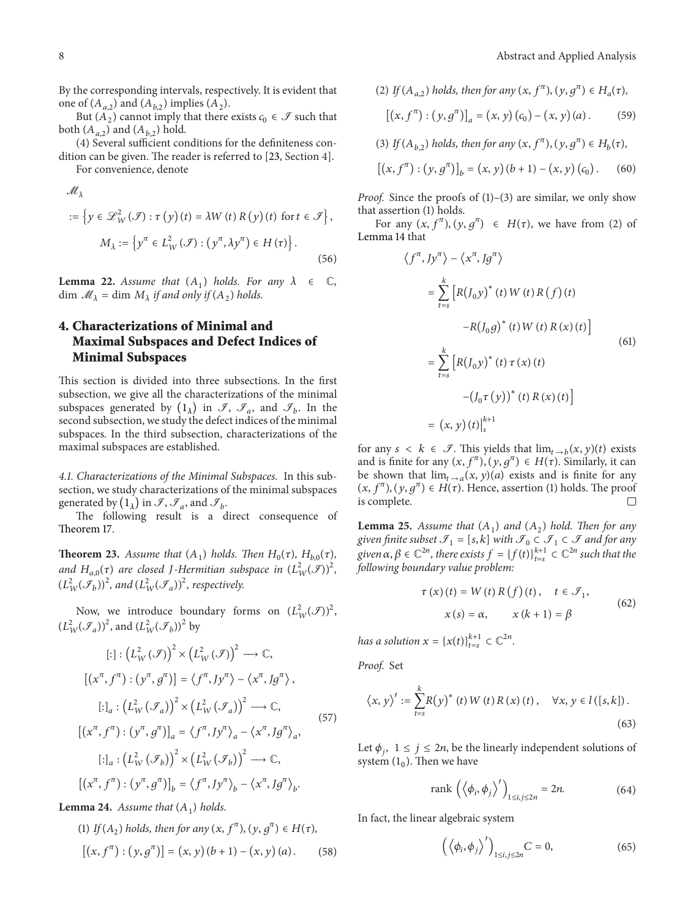By the corresponding intervals, respectively. It is evident that one of  $(A_{a,2})$  and  $(A_{b,2})$  implies  $(A_2)$ .

But  $(A_2)$  cannot imply that there exists  $c_0 \in \mathcal{F}$  such that both  $(A_{a,2})$  and  $(A_{b,2})$  hold.

(4) Several sufficient conditions for the definiteness condition can be given. The reader is referred to [23, Section 4].

For convenience, denote

$$
\mathcal{M}_{\lambda}
$$
  
 := { $y \in \mathcal{L}_{W}^{2}(\mathcal{F}) : \tau(y)(t) = \lambda W(t) R(y)(t)$  for  $t \in \mathcal{F}$ },  

$$
M_{\lambda} := \{y^{\pi} \in L_{W}^{2}(\mathcal{F}) : (y^{\pi}, \lambda y^{\pi}) \in H(\tau)\}.
$$
 (56)

**Lemma 22.** *Assume that*  $(A_1)$  *holds. For any*  $\lambda \in \mathbb{C}$ *,*  $\dim \mathcal{M}_{\lambda} = \dim M_{\lambda}$  *if and only if*  $(A_2)$  *holds.* 

## **4. Characterizations of Minimal and Maximal Subspaces and Defect Indices of Minimal Subspaces**

This section is divided into three subsections. In the first subsection, we give all the characterizations of the minimal subspaces generated by  $(1_\lambda)$  in  $\mathcal{I}, \mathcal{I}_a$ , and  $\mathcal{I}_b$ . In the second subsection, we study the defect indices of the minimal subspaces. In the third subsection, characterizations of the maximal subspaces are established.

*4.1. Characterizations of the Minimal Subspaces.* In this subsection, we study characterizations of the minimal subspaces generated by  $(1_\lambda)$  in  $\mathcal{I}, \mathcal{I}_a$ , and  $\mathcal{I}_b$ .

The following result is a direct consequence of Theorem 17.

**Theorem 23.** *Assume that*  $(A_1)$  *holds. Then*  $H_0(\tau)$ *,*  $H_{b,0}(\tau)$ *,* and  $H_{a,0}(\tau)$  are closed *J*-Hermitian subspace in  $(L^2_W(\mathcal{F}))^2$ ,  $(L_W^2(\mathcal{F}_b))^2$ , and  $(L_W^2(\mathcal{F}_a))^2$ , respectively.

Now, we introduce boundary forms on  $(L_W^2(\mathcal{F}))^2$ ,  $(L_W^2(\mathcal{F}_a))^2$ , and  $(L_W^2(\mathcal{F}_b))^2$  by

$$
[:]: \left(L_W^2(\mathcal{F})\right)^2 \times \left(L_W^2(\mathcal{F})\right)^2 \longrightarrow \mathbb{C},
$$
  
\n
$$
\left[\left(x^\pi, f^\pi\right) : \left(y^\pi, g^\pi\right)\right] = \left\langle f^\pi, Jy^\pi\right\rangle - \left\langle x^\pi, Jg^\pi\right\rangle,
$$
  
\n
$$
[:]_a : \left(L_W^2(\mathcal{F}_a)\right)^2 \times \left(L_W^2(\mathcal{F}_a)\right)^2 \longrightarrow \mathbb{C},
$$
  
\n
$$
\left[\left(x^\pi, f^\pi\right) : \left(y^\pi, g^\pi\right)\right]_a = \left\langle f^\pi, Jy^\pi\right\rangle_a - \left\langle x^\pi, Jg^\pi\right\rangle_a,
$$
  
\n
$$
[:]_a : \left(L_W^2(\mathcal{F}_b)\right)^2 \times \left(L_W^2(\mathcal{F}_b)\right)^2 \longrightarrow \mathbb{C},
$$
  
\n
$$
\left[\left(x^\pi, f^\pi\right) : \left(y^\pi, g^\pi\right)\right]_b = \left\langle f^\pi, Jy^\pi\right\rangle_b - \left\langle x^\pi, Jg^\pi\right\rangle_b.
$$
 (57)

**Lemma 24.** *Assume that*  $(A_1)$  *holds.* 

(1) If 
$$
(A_2)
$$
 holds, then for any  $(x, f^{\pi})$ ,  $(y, g^{\pi}) \in H(\tau)$ ,  
\n
$$
[(x, f^{\pi}) : (y, g^{\pi})] = (x, y) (b + 1) - (x, y) (a).
$$
 (58)

(2) If 
$$
(A_{a,2})
$$
 holds, then for any  $(x, f^{\pi})$ ,  $(y, g^{\pi}) \in H_a(\tau)$ ,  
\n
$$
[(x, f^{\pi}) : (y, g^{\pi})]_a = (x, y) (c_0) - (x, y) (a).
$$
 (59)

(3) *If* ( $A_{b,2}$ ) *holds, then for any* ( $x, f^{\pi}$ ), ( $y, g^{\pi}$ )  $\in H_b(\tau)$ ,

$$
[(x, f^{\pi}) : (y, g^{\pi})]_{b} = (x, y) (b + 1) - (x, y) (c_{0}).
$$
 (60)

*Proof.* Since the proofs of (1)–(3) are similar, we only show that assertion (1) holds.

For any  $(x, f^{\pi})$ ,  $(y, g^{\pi}) \in H(\tau)$ , we have from (2) of Lemma 14 that

$$
\langle f^{\pi}, Jy^{\pi} \rangle - \langle x^{\pi}, Jg^{\pi} \rangle
$$
  
\n
$$
= \sum_{t=s}^{k} \left[ R(J_0 y)^* (t) W(t) R(f) (t) -R(J_0 g)^* (t) W(t) R(x) (t) \right]
$$
  
\n
$$
= \sum_{t=s}^{k} \left[ R(J_0 y)^* (t) \tau (x) (t) - (J_0 \tau (y))^* (t) R(x) (t) \right]
$$
  
\n
$$
= (x, y) (t) \Big|_{s}^{k+1}
$$
 (61)

for any  $s < k \in \mathcal{I}$ . This yields that  $\lim_{t \to b} (x, y)(t)$  exists and is finite for any  $(x, f^{\pi})$ ,  $(y, g^{\pi}) \in H(\tau)$ . Similarly, it can be shown that  $\lim_{t\to a}(x, y)(a)$  exists and is finite for any  $(x, f^{\pi})$ ,  $(y, g^{\pi}) \in H(\tau)$ . Hence, assertion (1) holds. The proof is complete. is complete.

**Lemma 25.** *Assume that*  $(A_1)$  *and*  $(A_2)$  *hold. Then for any given finite subset*  $\mathcal{I}_1 = [s, k]$  *with*  $\mathcal{I}_0 \subset \mathcal{I}_1 \subset \mathcal{I}$  *and for any* given  $\alpha, \beta \in \mathbb{C}^{2n}$ , there exists  $f = \{f(t)\}_{t=s}^{k+1} \subset \mathbb{C}^{2n}$  such that the *following boundary value problem:*

$$
\tau(x)(t) = W(t) R(f)(t), \quad t \in \mathcal{F}_1,
$$
  
\n
$$
x(s) = \alpha, \qquad x(k+1) = \beta
$$
\n(62)

*has a solution*  $x = \{x(t)\}_{t=s}^{k+1} \subset \mathbb{C}^{2n}$ .

*Proof.* Set

$$
\left\langle x, y \right\rangle' := \sum_{t=s}^{k} R\big(y\big)^{*}\left(t\right) W\left(t\right) R\left(x\right)\left(t\right), \quad \forall x, y \in l\left(\left[s, k\right]\right). \tag{63}
$$

Let  $\phi_i$ ,  $1 \leq j \leq 2n$ , be the linearly independent solutions of system  $(1_0)$ . Then we have

$$
rank\left(\left\langle \phi_i, \phi_j \right\rangle'\right)_{1 \le i, j \le 2n} = 2n. \tag{64}
$$

In fact, the linear algebraic system

$$
\left(\left\langle \phi_i, \phi_j \right\rangle'\right)_{1 \le i, j \le 2n} C = 0,\tag{65}
$$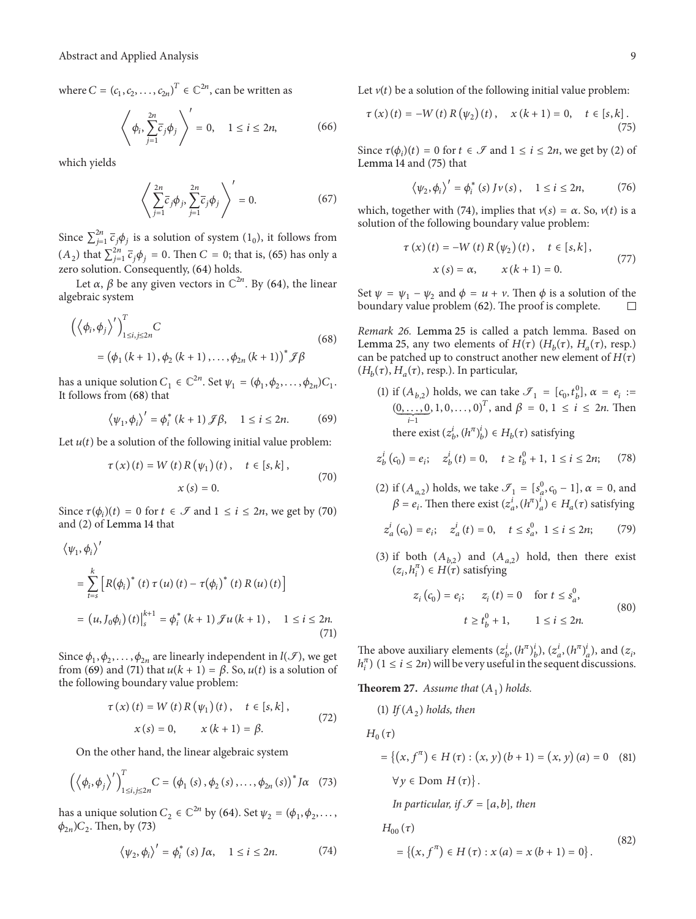where  $C = (c_1, c_2, \dots, c_{2n})^T \in \mathbb{C}^{2n}$ , can be written as

$$
\left\langle \phi_i, \sum_{j=1}^{2n} \overline{c}_j \phi_j \right\rangle' = 0, \quad 1 \le i \le 2n,
$$
 (66)

which yields

$$
\left\langle \sum_{j=1}^{2n} \overline{c}_j \phi_j, \sum_{j=1}^{2n} \overline{c}_j \phi_j \right\rangle' = 0.
$$
 (67)

Since  $\sum_{j=1}^{2n} \bar{c}_j \phi_j$  is a solution of system  $(1_0)$ , it follows from  $(A_2)$  that  $\sum_{j=1}^{2n} \bar{c}_j \phi_j = 0$ . Then  $C = 0$ ; that is, (65) has only a zero solution. Consequently, (64) holds.

Let  $\alpha$ ,  $\beta$  be any given vectors in  $\mathbb{C}^{2n}$ . By (64), the linear algebraic system

$$
\left( \left\langle \phi_{i}, \phi_{j} \right\rangle' \right)_{1 \le i, j \le 2n}^{T} C
$$
\n
$$
= \left( \phi_{1} \left( k + 1 \right), \phi_{2} \left( k + 1 \right), \dots, \phi_{2n} \left( k + 1 \right) \right)^{*} \mathcal{F} \beta
$$
\n(68)

has a unique solution  $C_1 \in \mathbb{C}^{2n}$ . Set  $\psi_1 = (\phi_1, \phi_2, \dots, \phi_{2n})C_1$ . It follows from (68) that

$$
\langle \psi_1, \phi_i \rangle' = \phi_i^* (k+1) \mathcal{J} \beta, \quad 1 \le i \le 2n. \tag{69}
$$

Let  $u(t)$  be a solution of the following initial value problem:

$$
\tau(x)(t) = W(t) R(\psi_1)(t), \quad t \in [s, k],
$$
  
\n $x(s) = 0.$  (70)

Since  $\tau(\phi_i)(t) = 0$  for  $t \in \mathcal{F}$  and  $1 \le i \le 2n$ , we get by (70) and (2) of Lemma 14 that

$$
\langle \psi_1, \phi_i \rangle'
$$
  
= 
$$
\sum_{t=s}^{k} \left[ R(\phi_i)^* (t) \tau(u) (t) - \tau(\phi_i)^* (t) R(u) (t) \right]
$$
  
= 
$$
(u, J_0 \phi_i) (t) \Big|_{s}^{k+1} = \phi_i^* (k+1) \mathcal{J} u (k+1), \quad 1 \le i \le 2n.
$$
 (71)

Since  $\phi_1, \phi_2, \ldots, \phi_{2n}$  are linearly independent in  $l(\mathcal{I})$ , we get from (69) and (71) that  $u(k + 1) = \beta$ . So,  $u(t)$  is a solution of the following boundary value problem:

$$
\tau(x) (t) = W(t) R(\psi_1) (t), \quad t \in [s, k],
$$
  
\n
$$
x(s) = 0, \qquad x (k + 1) = \beta.
$$
 (72)

On the other hand, the linear algebraic system

$$
\left(\left\langle \phi_i, \phi_j \right\rangle'\right)_{1 \leq i, j \leq 2n}^T C = \left(\phi_1 \left(s\right), \phi_2 \left(s\right), \ldots, \phi_{2n} \left(s\right)\right)^* J \alpha \quad (73)
$$

has a unique solution  $C_2 \in \mathbb{C}^{2n}$  by (64). Set  $\psi_2 = (\phi_1, \phi_2, \dots, \phi_n)$  $\phi_{2n}$ ) $C_2$ . Then, by (73)

$$
\langle \psi_2, \phi_i \rangle' = \phi_i^* \left( s \right) J \alpha, \quad 1 \le i \le 2n. \tag{74}
$$

Let  $v(t)$  be a solution of the following initial value problem:

$$
\tau(x)(t) = -W(t) R(\psi_2)(t), \quad x(k+1) = 0, \quad t \in [s, k].
$$
\n(75)

Since  $\tau(\phi_i)(t) = 0$  for  $t \in \mathcal{F}$  and  $1 \le i \le 2n$ , we get by (2) of Lemma 14 and (75) that

$$
\langle \psi_2, \phi_i \rangle' = \phi_i^* \left( s \right) J \nu \left( s \right), \quad 1 \le i \le 2n, \tag{76}
$$

which, together with (74), implies that  $v(s) = \alpha$ . So,  $v(t)$  is a solution of the following boundary value problem:

$$
\tau(x)(t) = -W(t) R(\psi_2)(t), \quad t \in [s, k],
$$
  
 
$$
x(s) = \alpha, \qquad x(k+1) = 0.
$$
 (77)

Set  $\psi = \psi_1 - \psi_2$  and  $\phi = u + v$ . Then  $\phi$  is a solution of the boundary value problem (62). The proof is complete. boundary value problem (62). The proof is complete.

*Remark 26.* Lemma 25 is called a patch lemma. Based on Lemma 25, any two elements of  $H(\tau)$  ( $H_h(\tau)$ ,  $H_a(\tau)$ , resp.) can be patched up to construct another new element of  $H(\tau)$  $(H_h(\tau), H_a(\tau),$  resp.). In particular,

(1) if  $(A_{b,2})$  holds, we can take  $\mathcal{I}_1 = [c_0, t_b^0]$ ,  $\alpha = e_i$  :=  $(\underbrace{0, \ldots, 0}_{i-1}, 1, 0, \ldots, 0)^T$ , and  $\beta = 0, 1 \le i \le 2n$ . Then there exist  $(z_b^i, (h^{\pi})_b^i) \in H_b(\tau)$  satisfying

$$
z_b^i(c_0) = e_i; \quad z_b^i(t) = 0, \quad t \ge t_b^0 + 1, \ 1 \le i \le 2n; \tag{78}
$$

(2) if  $(A_{a,2})$  holds, we take  $\mathcal{I}_1 = [s_a^0, c_0 - 1], \alpha = 0$ , and  $\beta = e_i$ . Then there exist  $(z_a^i, (h^\pi)_a^i) \in H_a(\tau)$  satisfying

$$
z_a^i(c_0) = e_i;
$$
  $z_a^i(t) = 0,$   $t \le s_a^0$ ,  $1 \le i \le 2n;$  (79)

(3) if both  $(A_{b,2})$  and  $(A_{a,2})$  hold, then there exist  $(z_i, h_i^{\pi}) \in H(\tau)$  satisfying

$$
z_i (c_0) = e_i; \t z_i (t) = 0 \t for t \le s_a^0,
$$
  

$$
t \ge t_b^0 + 1, \t 1 \le i \le 2n.
$$
 (80)

The above auxiliary elements  $(z_b^i, (h^{\pi})_b^i)$ ,  $(z_a^i, (h^{\pi})_a^i)$ , and  $(z_i,$  $h_i^{\pi}$ )  $(1 \le i \le 2n)$  will be very useful in the sequent discussions.

**Theorem 27.** Assume that  $(A_1)$  holds.

(1) If 
$$
(A_2)
$$
 holds, then  
\n
$$
H_0(\tau)
$$
\n
$$
= \{(x, f^{\pi}) \in H(\tau) : (x, y) (b + 1) = (x, y) (a) = 0 \quad (81)
$$
\n
$$
\forall y \in \text{Dom } H(\tau) \}.
$$
\nIn particular, if  $\mathcal{F} = [a, b]$ , then  
\n
$$
H_{00}(\tau)
$$
\n
$$
= \{(x, f^{\pi}) \in H(\tau) : x (a) = x (b + 1) = 0 \}.
$$
\n(82)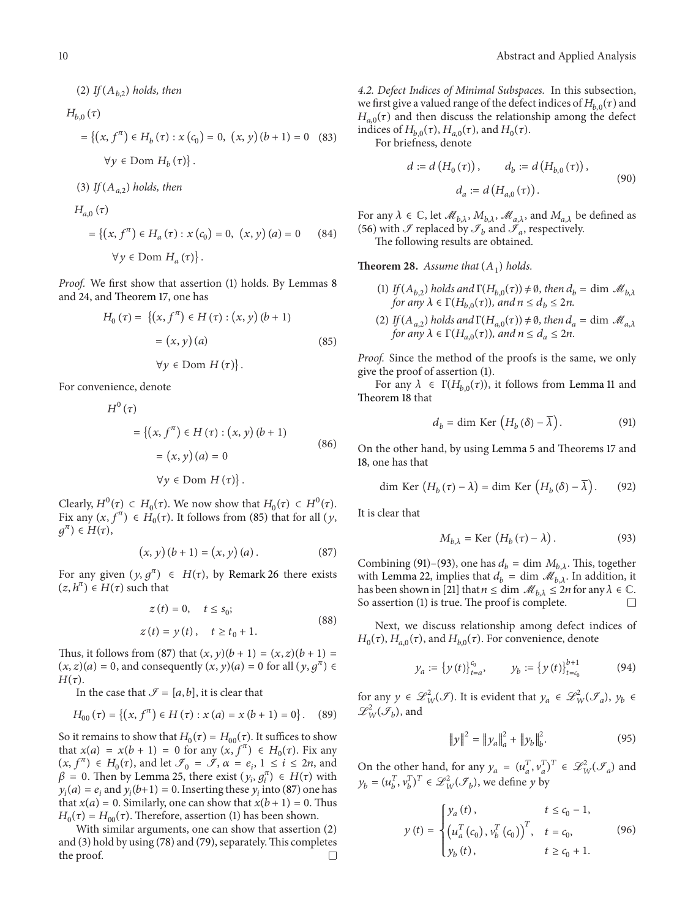## $(2)$  *If*  $(A_{h,2})$  *holds, then*  $H_{b,0}(\tau)$  $=\{(x, f^{\pi}) \in H_b(\tau) : x(c_0) = 0, (x, y)(b+1) = 0$  (83)  $\forall y \in \text{Dom } H_h(\tau)$ . (3) If  $(A_{a,2})$  *holds, then*  $H_{a,0}(\tau)$  $=\{(x, f^{\pi}) \in H_a(\tau) : x(c_0) = 0, (x, y)(a) = 0\}$ (84)

 $\forall y \in \text{Dom } H_a(\tau)$ .

*Proof.* We first show that assertion (1) holds. By Lemmas 8 and 24, and Theorem 17, one has

$$
H_0(\tau) = \{(x, f^{\pi}) \in H(\tau) : (x, y) (b + 1)
$$

$$
= (x, y) (a)
$$

$$
\forall y \in \text{Dom } H(\tau) \}.
$$
 (85)

For convenience, denote

$$
H^{0}(\tau)
$$
  
= { $(x, f^{\pi}) \in H(\tau) : (x, y) (b + 1)$   
=  $(x, y) (a) = 0$   
 $\forall y \in \text{Dom } H(\tau)$  }. (86)

Clearly,  $H^0(\tau) \subset H_0(\tau)$ . We now show that  $H_0(\tau) \subset H^0(\tau)$ . Fix any  $(x, f^{\pi}) \in H_0(\tau)$ . It follows from (85) that for all  $(y, f^{\pi})$  $g^{\pi}$ )  $\in$   $H(\tau)$ ,

$$
(x, y) (b + 1) = (x, y) (a).
$$
 (87)

For any given  $(y, g^{\pi}) \in H(\tau)$ , by Remark 26 there exists  $(z, h^{\pi}) \in H(\tau)$  such that

$$
z(t) = 0, \quad t \le s_0;
$$
  
\n
$$
z(t) = y(t), \quad t \ge t_0 + 1.
$$
\n(88)

Thus, it follows from (87) that  $(x, y)(b + 1) = (x, z)(b + 1) =$  $(x, z)(a) = 0$ , and consequently  $(x, y)(a) = 0$  for all  $(y, q^{\pi}) \in$  $H(\tau)$ .

In the case that  $\mathcal{I} = [a, b]$ , it is clear that

$$
H_{00}(\tau) = \{(x, f^{\pi}) \in H(\tau) : x(a) = x(b+1) = 0\}.
$$
 (89)

So it remains to show that  $H_0(\tau) = H_{00}(\tau)$ . It suffices to show that  $x(a) = x(b + 1) = 0$  for any  $(x, f^{\pi}) \in H_0(\tau)$ . Fix any  $(x, f^{\pi}) \in H_0(\tau)$ , and let  $\mathcal{F}_0 = \mathcal{F}$ ,  $\alpha = e_i$ ,  $1 \le i \le 2n$ , and  $\beta = 0$ . Then by Lemma 25, there exist  $(y_i, g_i^{\pi}) \in H(\tau)$  with  $y_i(a) = e_i$  and  $y_i(b+1) = 0$ . Inserting these  $y_i$  into (87) one has that  $x(a) = 0$ . Similarly, one can show that  $x(b + 1) = 0$ . Thus  $H_0(\tau) = H_{00}(\tau)$ . Therefore, assertion (1) has been shown.

With similar arguments, one can show that assertion (2) and (3) hold by using (78) and (79), separately.This completes the proof.  $\Box$  *4.2. Defect Indices of Minimal Subspaces.* In this subsection, we first give a valued range of the defect indices of  $H_{h0}(\tau)$  and  $H_{a,0}(\tau)$  and then discuss the relationship among the defect indices of  $H_{b,0}(\tau)$ ,  $H_{a,0}(\tau)$ , and  $H_0(\tau)$ .

For briefness, denote

$$
d := d(H_0(\tau)), \qquad d_b := d(H_{b,0}(\tau)),
$$
  

$$
d_a := d(H_{a,0}(\tau)).
$$
 (90)

For any  $\lambda \in \mathbb{C}$ , let  $\mathcal{M}_{b,\lambda}, M_{b,\lambda}, \mathcal{M}_{a,\lambda}$ , and  $M_{a,\lambda}$  be defined as (56) with  $\mathcal F$  replaced by  $\mathcal F_b$  and  $\mathcal F_a$ , respectively.

The following results are obtained.

**Theorem 28.** Assume that  $(A_1)$  holds.

- (1) *If*  $(A_{b,2})$  *holds and*  $\Gamma(H_{b,0}(\tau)) \neq \emptyset$ , *then*  $d_b = \dim \mathcal{M}_{b,\lambda}$ *for any*  $\lambda \in \Gamma(H_{h,0}(\tau))$ *, and*  $n \leq d_h \leq 2n$ *.*
- (2) *If*( $A_{a,2}$ ) *holds and*  $\Gamma(H_{a,0}(\tau)) \neq \emptyset$ , *then*  $d_a = \dim \mathcal{M}_{a,\lambda}$ *for any*  $\lambda \in \Gamma(H_{a,0}(\tau))$ *, and*  $n \leq d_a \leq 2n$ *.*

*Proof.* Since the method of the proofs is the same, we only give the proof of assertion (1).

For any  $\lambda \in \Gamma(H_{b,0}(\tau))$ , it follows from Lemma 11 and Theorem 18 that

$$
d_b = \dim \operatorname{Ker} \left( H_b \left( \delta \right) - \overline{\lambda} \right). \tag{91}
$$

On the other hand, by using Lemma 5 and Theorems 17 and 18, one has that

$$
\dim \operatorname{Ker} \left( H_b \left( \tau \right) - \lambda \right) = \dim \operatorname{Ker} \left( H_b \left( \delta \right) - \overline{\lambda} \right). \tag{92}
$$

It is clear that

$$
M_{b,\lambda} = \text{Ker}\,\left(H_b\left(\tau\right) - \lambda\right). \tag{93}
$$

Combining (91)–(93), one has  $d_b = \dim M_{b,\lambda}$ . This, together with Lemma 22, implies that  $d_b = \dim \mathcal{M}_{b,\lambda}$ . In addition, it has been shown in [21] that  $n \leq \dim \mathcal{M}_{b,\lambda} \leq 2n$  for any  $\lambda \in \mathbb{C}$ . So assertion (1) is true. The proof is complete.

Next, we discuss relationship among defect indices of  $H_0(\tau)$ ,  $H_{a,0}(\tau)$ , and  $H_{b,0}(\tau)$ . For convenience, denote

$$
y_a := \{ y(t) \}_{t=a}^{c_0}, \qquad y_b := \{ y(t) \}_{t=c_0}^{b+1} \tag{94}
$$

for any  $y \in \mathscr{L}_{W}^{2}(\mathscr{I})$ . It is evident that  $y_{a} \in \mathscr{L}_{W}^{2}(\mathscr{I}_{a}), y_{b} \in$  $\mathscr{L}^2_W(\mathscr{I}_b)$ , and

$$
\|y\|^2 = \|y_a\|_a^2 + \|y_b\|_b^2.
$$
 (95)

On the other hand, for any  $y_a = (u_a^T, v_a^T)^T \in \mathcal{L}_W^2(\mathcal{F}_a)$  and  $y_b = (u_b^T, v_b^T)^T \in \mathcal{L}_W^2(\mathcal{I}_b)$ , we define y by

$$
y(t) = \begin{cases} y_a(t), & t \le c_0 - 1, \\ \left(u_a^T(c_0), v_b^T(c_0)\right)^T, & t = c_0, \\ y_b(t), & t \ge c_0 + 1. \end{cases}
$$
(96)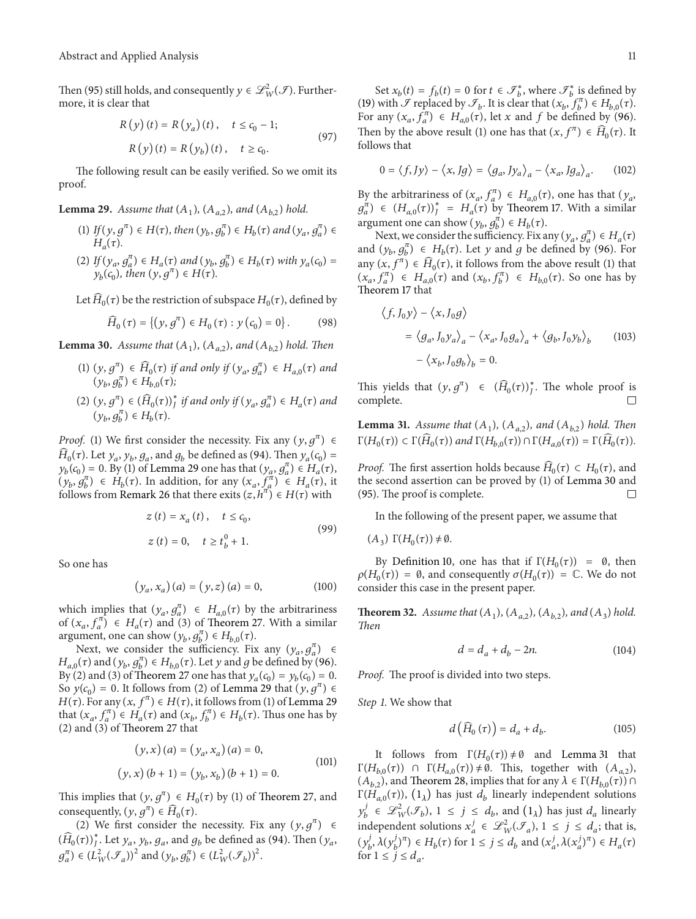Then (95) still holds, and consequently  $y \in \mathscr{L}_{W}^{2}(\mathscr{I})$ . Furthermore, it is clear that

$$
R(y)(t) = R(y_a)(t), \quad t \le c_0 - 1;
$$
  
 
$$
R(y)(t) = R(y_b)(t), \quad t \ge c_0.
$$
 (97)

The following result can be easily verified. So we omit its proof.

**Lemma 29.** *Assume that*  $(A_1)$ *,*  $(A_{a,2})$ *, and*  $(A_{b,2})$  *hold.* 

- (1) *If*  $(y, g^{\pi}) \in H(\tau)$ , then  $(y_b, g_b^{\pi}) \in H_b(\tau)$  and  $(y_a, g_a^{\pi}) \in H_b(\tau)$  $H_a(\tau)$ .
- (2) If  $(y_a, g_a^{\pi}) \in H_a(\tau)$  and  $(y_b, g_b^{\pi}) \in H_b(\tau)$  with  $y_a(c_0) =$  $y_b(c_0)$ *, then*  $(y, g^{\pi}) \in H(\tau)$ *.*

Let  $\widehat{H}_0(\tau)$  be the restriction of subspace  $H_0(\tau)$ , defined by

$$
\widehat{H}_0(\tau) = \{ (y, g^{\pi}) \in H_0(\tau) : y(c_0) = 0 \}.
$$
 (98)

**Lemma 30.** *Assume that*  $(A_1)$ *,*  $(A_{a2})$ *, and*  $(A_{b2})$  *hold. Then* 

- (1)  $(y, g^{\pi}) \in \widehat{H}_0(\tau)$  if and only if  $(y_a, g_a^{\pi}) \in H_{a,0}(\tau)$  and  $(y_b, g_b^{\pi}) \in H_{b,0}(\tau);$
- $(2)$   $(y, g<sup>π</sup>)$   $\in$   $(\widehat{H}_0(\tau))_J^*$  *if and only if*  $(y_a, g_a^{\pi})$   $\in$   $H_a(\tau)$  *and*  $(y_b, g_b^{\pi}) \in H_b(\tau)$ .

*Proof.* (1) We first consider the necessity. Fix any  $(y, g^{\pi}) \in$  $\widehat{H}_0(\tau)$ . Let  $y_a$ ,  $y_b$ ,  $g_a$ , and  $g_b$  be defined as (94). Then  $y_a(c_0)$  =  $y_b(c_0) = 0$ . By (1) of Lemma 29 one has that  $(y_a, g_a^{\pi}) \in H_a(\tau)$ ,  $(y_b, g_b^{\pi}) \in H_b(\tau)$ . In addition, for any  $(x_a, \tilde{f}_a^{\pi}) \in H_a(\tau)$ , it follows from Remark 26 that there exits  $(z, h^{\pi}) \in H(\tau)$  with

$$
z(t) = x_a(t), \quad t \le c_0,
$$
  
\n
$$
z(t) = 0, \quad t \ge t_b^0 + 1.
$$
\n(99)

So one has

$$
(y_a, x_a)(a) = (y, z)(a) = 0,
$$
 (100)

which implies that  $(y_a, g_a^{\pi}) \in H_{a,0}(\tau)$  by the arbitrariness of  $(x_a, f_a^{\pi}) \in H_a(\tau)$  and (3) of Theorem 27. With a similar argument, one can show  $(y_b, g_b^{\pi}) \in H_{b,0}(\tau)$ .

Next, we consider the sufficiency. Fix any  $(y_a, g_a^{\pi}) \in$  $H_{a,0}(\tau)$  and  $(y_b, g_b^{\pi}) \in H_{b,0}(\tau)$ . Let  $y$  and  $g$  be defined by (96). By (2) and (3) of Theorem 27 one has that  $y_a(c_0)=y_b(c_0)=0$ . So  $y(c_0) = 0$ . It follows from (2) of Lemma 29 that  $(y, g^{\pi}) \in$  $H(\tau)$ . For any  $(x, f^{\pi}) \in H(\tau)$ , it follows from (1) of Lemma 29 that  $(x_a, f_a^{\pi}) \in H_a(\tau)$  and  $(x_b, f_b^{\pi}) \in H_b(\tau)$ . Thus one has by (2) and (3) of Theorem 27 that

$$
(y, x) (a) = (y_a, x_a) (a) = 0,
$$
  

$$
(y, x) (b + 1) = (y_b, x_b) (b + 1) = 0.
$$
 (101)

This implies that  $(y, g^{\pi}) \in H_0(\tau)$  by (1) of Theorem 27, and consequently,  $(y, g^{\pi}) \in \widehat{H}_0(\tau)$ .

(2) We first consider the necessity. Fix any  $(y, g^{\pi}) \in$  $\left(\widehat{H}_{0}(\tau)\right)_{J}^{*}$ . Let  $y_{a}$ ,  $y_{b}$ ,  $g_{a}$ , and  $g_{b}$  be defined as (94). Then  $(y_{a}$ ,  $g_a^{\pi}$ )  $\in (L^2_W(\mathcal{F}_a))^2$  and  $(y_b, g_b^{\pi}) \in (L^2_W(\mathcal{F}_b))^2$ .

Set  $x_b(t) = f_b(t) = 0$  for  $t \in \mathcal{F}_b^*$ , where  $\mathcal{F}_b^*$  is defined by (19) with  $\mathcal F$  replaced by  $\mathcal F_b$ . It is clear that  $(x_b, f_b^{\pi}) \in H_{b,0}(\tau)$ . For any  $(x_a, f_a^{\pi}) \in H_{a,0}(\tau)$ , let x and f be defined by (96). Then by the above result (1) one has that  $(x, f^{\pi}) \in \widehat{H}_{0}(\tau)$ . It follows that

$$
0 = \langle f, Jy \rangle - \langle x, Jg \rangle = \langle g_a, Jy_a \rangle_a - \langle x_a, Jg_a \rangle_a.
$$
 (102)

By the arbitrariness of  $(x_a, f_a^{\pi}) \in H_{a,0}(\tau)$ , one has that  $(y_a, \tau_a)$  $g_a^{\pi}$ )  $\in$   $(H_{a,0}(\tau))_J^* = H_a(\tau)$  by Theorem 17. With a similar argument one can show  $(y_b, g_b^{\pi}) \in H_b(\tau)$ .

Next, we consider the sufficiency. Fix any  $(y_a, g_a^{\pi}) \in H_a(\tau)$ and  $(y_b, g_b^{\pi}) \in H_b(\tau)$ . Let y and g be defined by (96). For any  $(x, f^{\pi}) \in \widehat{H}_0(\tau)$ , it follows from the above result (1) that  $(x_a, f_a^{\pi}) \in H_{a,0}(\tau)$  and  $(x_b, f_b^{\pi}) \in H_{b,0}(\tau)$ . So one has by Theorem 17 that

$$
\langle f, J_0 y \rangle - \langle x, J_0 g \rangle
$$
  
=  $\langle g_a, J_0 y_a \rangle_a - \langle x_a, J_0 g_a \rangle_a + \langle g_b, J_0 y_b \rangle_b$  (103)  
-  $\langle x_b, J_0 g_b \rangle_b = 0.$ 

This yields that  $(y, g^{\pi}) \in (\widehat{H}_0(\tau))_J^*$ . The whole proof is complete.

**Lemma 31.** *Assume that*  $(A_1)$ *,*  $(A_{a,2})$ *, and*  $(A_{b,2})$  *hold. Then*  $\Gamma(H_0(\tau)) \subset \Gamma(\widehat{H}_0(\tau))$  and  $\Gamma(H_{h,0}(\tau)) \cap \Gamma(H_{a,0}(\tau)) = \Gamma(\widehat{H}_0(\tau)).$ 

*Proof.* The first assertion holds because  $\tilde{H}_0(\tau) \subset H_0(\tau)$ , and the second assertion can be proved by (1) of Lemma 30 and (95). The proof is complete.  $\Box$ 

In the following of the present paper, we assume that

 $(A_3) \Gamma(H_0(\tau)) \neq \emptyset$ .

By Definition 10, one has that if  $\Gamma(H_0(\tau)) = \emptyset$ , then  $\rho(H_0(\tau)) = \emptyset$ , and consequently  $\sigma(H_0(\tau)) = \mathbb{C}$ . We do not consider this case in the present paper.

**Theorem 32.** *Assume that*  $(A_1)$ *,*  $(A_{a,2})$ *,*  $(A_{b,2})$ *, and*  $(A_3)$  *hold. Then*

$$
d = d_a + d_b - 2n.\tag{104}
$$

*Proof.* The proof is divided into two steps.

*Step 1*. We show that

$$
d\left(\widehat{H}_0\left(\tau\right)\right) = d_a + d_b. \tag{105}
$$

It follows from  $\Gamma(H_0(\tau)) \neq \emptyset$  and Lemma 31 that  $\Gamma(H_{b,0}(\tau)) \cap \Gamma(H_{a,0}(\tau)) \neq \emptyset$ . This, together with  $(A_{a,2})$ ,  $(A_{b,2})$ , and Theorem 28, implies that for any  $\lambda \in \Gamma(H_{b,0}(\tau)) \cap$ Γ( $H_{a,0}(\tau)$ ),  $(1_{\lambda})$  has just  $d_b$  linearly independent solutions  $y_b^j \in \mathscr{L}_W^2(\mathscr{F}_b)$ ,  $1 \le j \le d_b$ , and  $(1_\lambda)$  has just  $d_a$  linearly independent solutions  $x_a^j \in \mathcal{L}_W^2(\mathcal{F}_a)$ ,  $1 \le j \le d_a$ ; that is,  $(y_b^j, \lambda(y_b^j)^{\pi}) \in H_b(\tau)$  for  $1 \le j \le d_b$  and  $(x_a^j, \lambda(x_a^j)^{\pi}) \in H_a(\tau)$ for  $1 \leq j \leq d_a$ .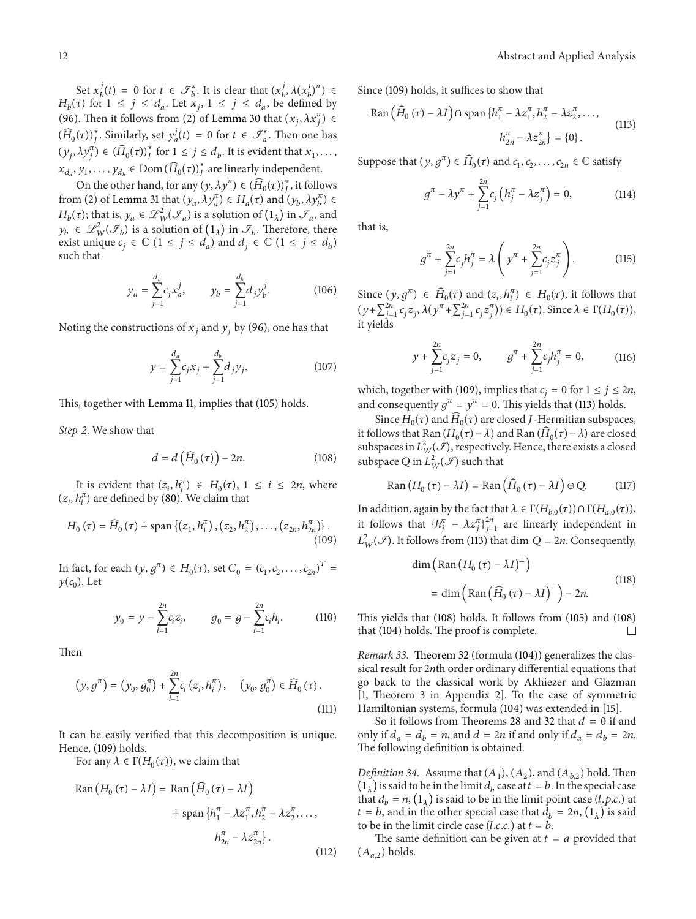Set  $x_b^j(t) = 0$  for  $t \in \mathcal{F}_b^*$ . It is clear that  $(x_b^j, \lambda(x_b^j)^{\pi}) \in$  $H_b(\tau)$  for  $1 \le j \le d_a$ . Let  $x_j$ ,  $1 \le j \le d_a$ , be defined by (96). Then it follows from (2) of Lemma 30 that  $(x_j, \lambda x_j^{\pi}) \in$  $(\widehat{H}_0(\tau))_J^*$ . Similarly, set  $y_a^j(t) = 0$  for  $t \in \mathcal{F}_a^*$ . Then one has  $(y_j, \lambda y_j^{\pi}) \in (\widehat{H}_0(\tau))_j^*$  for  $1 \leq j \leq d_b$ . It is evident that  $x_1, \ldots,$  $x_{d_a}, y_1, \ldots, y_{d_b} \in \text{Dom}(\widehat{H}_0(\tau))_J^*$  are linearly independent.

On the other hand, for any  $(y, \lambda y^{\pi}) \in (\widehat{H}_{0}(\tau))_{J}^{*}$ , it follows from (2) of Lemma 31 that  $(y_a, \lambda y_a^{\pi}) \in H_a(\tau)$  and  $(y_b, \lambda y_b^{\pi}) \in$  $H_b(\tau)$ ; that is,  $y_a \in \mathcal{L}_W^2(\mathcal{F}_a)$  is a solution of  $(1_\lambda)$  in  $\mathcal{F}_a$ , and  $y_b \in \mathscr{L}_{W}^2(\mathscr{I}_b)$  is a solution of  $(1_\lambda)$  in  $\mathscr{I}_b$ . Therefore, there exist unique  $c_i \in \mathbb{C}$   $(1 \le j \le d_a)$  and  $d_i \in \mathbb{C}$   $(1 \le j \le d_b)$ such that

$$
y_a = \sum_{j=1}^{d_a} c_j x_a^j, \qquad y_b = \sum_{j=1}^{d_b} d_j y_b^j.
$$
 (106)

Noting the constructions of  $x_i$  and  $y_i$  by (96), one has that

$$
y = \sum_{j=1}^{d_a} c_j x_j + \sum_{j=1}^{d_b} d_j y_j.
$$
 (107)

This, together with Lemma 11, implies that (105) holds.

*Step 2*. We show that

$$
d = d\left(\widehat{H}_0\left(\tau\right)\right) - 2n.\tag{108}
$$

It is evident that  $(z_i, h_i^{\pi}) \in H_0(\tau)$ ,  $1 \le i \le 2n$ , where  $(z_i, h_i^{\pi})$  are defined by (80). We claim that

$$
H_0(\tau) = \widehat{H}_0(\tau) + \text{span}\left\{ (z_1, h_1^{\pi}), (z_2, h_2^{\pi}), \dots, (z_{2n}, h_{2n}^{\pi}) \right\}. \tag{109}
$$

In fact, for each  $(y, g^{\pi}) \in H_0(\tau)$ , set  $C_0 = (c_1, c_2, \ldots, c_{2n})^T =$  $y(c_0)$ . Let

$$
y_0 = y - \sum_{i=1}^{2n} c_i z_i, \qquad g_0 = g - \sum_{i=1}^{2n} c_i h_i.
$$
 (110)

Then

$$
(y, g^{\pi}) = (y_0, g_0^{\pi}) + \sum_{i=1}^{2n} c_i (z_i, h_i^{\pi}), \quad (y_0, g_0^{\pi}) \in \widehat{H}_0(\tau).
$$
\n(111)

It can be easily verified that this decomposition is unique. Hence, (109) holds.

For any  $\lambda \in \Gamma(H_0(\tau))$ , we claim that

$$
\text{Ran}(H_0(\tau) - \lambda I) = \text{Ran}(\widehat{H}_0(\tau) - \lambda I)
$$
\n
$$
\dot{H}_1^{\pi} - \lambda z_1^{\pi}, h_2^{\pi} - \lambda z_2^{\pi}, \dots,
$$
\n
$$
h_{2n}^{\pi} - \lambda z_{2n}^{\pi} \}. \tag{112}
$$

Since (109) holds, it suffices to show that

$$
\text{Ran}\left(\widehat{H}_0\left(\tau\right) - \lambda I\right) \cap \text{span}\left\{h_1^\pi - \lambda z_1^\pi, h_2^\pi - \lambda z_2^\pi, \dots, \right. \tag{113}
$$
\n
$$
h_{2n}^\pi - \lambda z_{2n}^\pi\right\} = \{0\} \, .
$$

Suppose that  $(y, q^{\pi}) \in \widehat{H}_0(\tau)$  and  $c_1, c_2, \ldots, c_{2n} \in \mathbb{C}$  satisfy

$$
g^{\pi} - \lambda y^{\pi} + \sum_{j=1}^{2n} c_j \left( h_j^{\pi} - \lambda z_j^{\pi} \right) = 0, \qquad (114)
$$

that is,

$$
g^{\pi} + \sum_{j=1}^{2n} c_j h_j^{\pi} = \lambda \left( y^{\pi} + \sum_{j=1}^{2n} c_j z_j^{\pi} \right).
$$
 (115)

Since  $(y, g^{\pi}) \in \widehat{H}_0(\tau)$  and  $(z_i, h_i^{\pi}) \in H_0(\tau)$ , it follows that  $(y+\sum_{j=1}^{2n} c_j z_j, \lambda(y^{\pi} + \sum_{j=1}^{2n} c_j z_j^{\pi})) \in H_0(\tau)$ . Since  $\lambda \in \Gamma(H_0(\tau))$ , it yields

$$
y + \sum_{j=1}^{2n} c_j z_j = 0,
$$
  $g^{\pi} + \sum_{j=1}^{2n} c_j h_j^{\pi} = 0,$  (116)

which, together with (109), implies that  $c_i = 0$  for  $1 \le j \le 2n$ , and consequently  $g^{\pi} = y^{\pi} = 0$ . This yields that (113) holds.

Since  $H_0(\tau)$  and  $\widehat{H}_0(\tau)$  are closed *J*-Hermitian subspaces, it follows that Ran  $(H_0(\tau) - \lambda)$  and Ran  $(\widehat{H}_0(\tau) - \lambda)$  are closed subspaces in  $L^2_W(\mathcal{F})$ , respectively. Hence, there exists a closed subspace Q in  $L^2_W(\mathcal{F})$  such that

$$
Ran (H_0 (\tau) - \lambda I) = Ran (\widehat{H}_0 (\tau) - \lambda I) \oplus Q. \tag{117}
$$

In addition, again by the fact that  $\lambda \in \Gamma(H_{b,0}(\tau)) \cap \Gamma(H_{a,0}(\tau)),$ it follows that  $\{h_j^{\pi} - \lambda z_j^{\pi}\}_{j=1}^{2n}$  are linearly independent in  $L^2_W(\mathcal{F})$ . It follows from (113) that dim  $Q = 2n$ . Consequently,

$$
\dim\left(\text{Ran}\left(H_0\left(\tau\right) - \lambda I\right)^{\perp}\right)
$$
\n
$$
= \dim\left(\text{Ran}\left(\widehat{H}_0\left(\tau\right) - \lambda I\right)^{\perp}\right) - 2n. \tag{118}
$$

This yields that (108) holds. It follows from (105) and (108) that (104) holds. The proof is complete.

*Remark 33.* Theorem 32 (formula (104)) generalizes the classical result for 2nth order ordinary differential equations that go back to the classical work by Akhiezer and Glazman [1, Theorem 3 in Appendix 2]. To the case of symmetric Hamiltonian systems, formula (104) was extended in [15].

So it follows from Theorems 28 and 32 that  $d = 0$  if and only if  $d_a = d_b = n$ , and  $d = 2n$  if and only if  $d_a = d_b = 2n$ . The following definition is obtained.

*Definition 34.* Assume that  $(A_1)$ ,  $(A_2)$ , and  $(A_{b,2})$  hold. Then  $(1<sub>\lambda</sub>)$  is said to be in the limit  $d<sub>h</sub>$  case at  $t=b$ . In the special case that  $d_b = n$ ,  $(1_\lambda)$  is said to be in the limit point case (*l.p.c.*) at  $t=b$ , and in the other special case that  $d_b = 2n$ ,  $(1<sub>\lambda</sub>)$  is said to be in the limit circle case  $(l.c.c.)$  at  $t = b$ .

The same definition can be given at  $t = a$  provided that  $(A_{a,2})$  holds.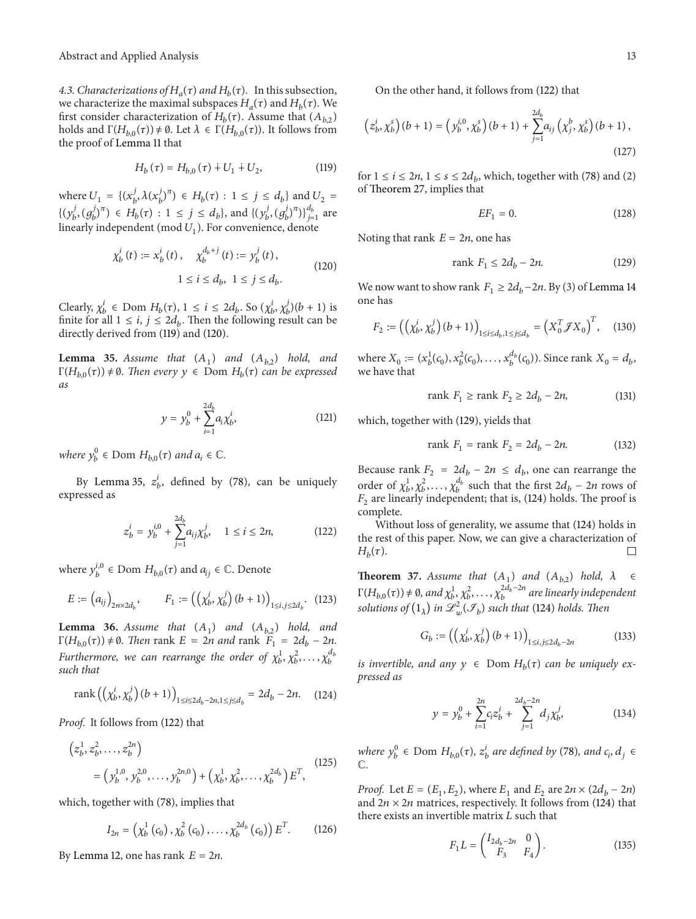4.3. Characterizations of  $H_a(\tau)$  and  $H_b(\tau)$ . In this subsection, we characterize the maximal subspaces  $H_a(\tau)$  and  $H_b(\tau)$ . We first consider characterization of  $H_b(\tau)$ . Assume that  $(A_{b,2})$ holds and  $\Gamma(H_{b,0}(\tau)) \neq \emptyset$ . Let  $\lambda \in \Gamma(H_{b,0}(\tau))$ . It follows from the proof of Lemma 11 that

$$
H_b(\tau) = H_{b,0}(\tau) + U_1 + U_2,\tag{119}
$$

where  $U_1 = \{(x_b^j, \lambda(x_b^j)^{\pi}) \in H_b(\tau) : 1 \le j \le d_b\}$  and  $U_2 =$  $\{ (y_b^j, (g_b^j)^{\pi}) \in H_b(\tau) : 1 \le j \le d_b \}, \text{ and } \{ (y_b^j, (g_b^j)^{\pi}) \}_{j=1}^{d_b} \text{ are }$ linearly independent (mod  $U_1$ ). For convenience, denote

$$
\chi_b^i(t) := x_b^i(t), \quad \chi_b^{d_b + j}(t) := y_b^j(t),
$$
  

$$
1 \le i \le d_b, \ 1 \le j \le d_b.
$$
 (120)

Clearly,  $\chi_b^i \in \text{Dom } H_b(\tau)$ ,  $1 \le i \le 2d_b$ . So  $(\chi_b^i, \chi_b^j)(b+1)$  is finite for all  $1 \le i, j \le 2d_h$ . Then the following result can be directly derived from (119) and (120).

**Lemma 35.** Assume that  $(A_1)$  and  $(A_{h,2})$  hold, and  $\Gamma(H_{h,0}(\tau)) \neq \emptyset$ . Then every  $y \in$  Dom  $H_h(\tau)$  can be expressed *as*

$$
y = y_b^0 + \sum_{i=1}^{2d_b} a_i \chi_b^i,
$$
 (121)

*where*  $y_b^0 \in \text{Dom } H_{b,0}(\tau)$  *and*  $a_i \in \mathbb{C}$ *.* 

By Lemma 35,  $z_b^i$ , defined by (78), can be uniquely expressed as

$$
z_b^i = y_b^{i,0} + \sum_{j=1}^{2d_b} a_{ij} \chi_b^j, \quad 1 \le i \le 2n,
$$
 (122)

where  $y_b^{i,0} \in \text{Dom } H_{b,0}(\tau)$  and  $a_{ij} \in \mathbb{C}$ . Denote

$$
E := (a_{ij})_{2n \times 2d_b}, \qquad F_1 := ((\chi_b^i, \chi_b^j)(b+1))_{1 \le i, j \le 2d_b}. \tag{123}
$$

**Lemma 36.** *Assume that*  $(A_1)$  *and*  $(A_{b,2})$  *hold, and*  $\Gamma(H_{b,0}(\tau)) \neq \emptyset$ . Then rank  $E = 2n$  and rank  $F_1 = 2d_b - 2n$ . *Furthermore, we can rearrange the order of*  $\chi_b^1, \chi_b^2, \ldots, \chi_b^{d_b}$ *such that*

rank 
$$
\left( \left( \chi_b^i, \chi_b^j \right) (b+1) \right)_{1 \le i \le 2d_b - 2n, 1 \le j \le d_b} = 2d_b - 2n.
$$
 (124)

*Proof.* It follows from (122) that

$$
(z_b^1, z_b^2, \dots, z_b^{2n})
$$
  
=  $(y_b^{1,0}, y_b^{2,0}, \dots, y_b^{2n,0}) + (\chi_b^1, \chi_b^2, \dots, \chi_b^{2d_b}) E^T,$  (125)

which, together with (78), implies that

$$
I_{2n} = \left(\chi_b^1(c_0), \chi_b^2(c_0), \ldots, \chi_b^{2d_b}(c_0)\right) E^T.
$$
 (126)

By Lemma 12, one has rank  $E = 2n$ .

On the other hand, it follows from (122) that

$$
\left(z_b^i, \chi_b^s\right)(b+1) = \left(y_b^{i,0}, \chi_b^s\right)(b+1) + \sum_{j=1}^{2d_b} a_{ij} \left(\chi_j^b, \chi_b^s\right)(b+1),\tag{127}
$$

for  $1 \le i \le 2n$ ,  $1 \le s \le 2d_b$ , which, together with (78) and (2) of Theorem 27, implies that

$$
EF_1 = 0.\t(128)
$$

Noting that rank  $E = 2n$ , one has

$$
\text{rank } F_1 \le 2d_b - 2n. \tag{129}
$$

We now want to show rank  $F_1 \geq 2d_b - 2n$ . By (3) of Lemma 14 one has

$$
F_2 := ((\chi_b^i, \chi_b^j)(b+1))_{1 \le i \le d_b, 1 \le j \le d_b} = (X_0^T \mathcal{J} X_0)^T, \quad (130)
$$

where  $X_0 := (x_b^1(c_0), x_b^2(c_0), \dots, x_b^{d_b}(c_0))$ . Since rank  $X_0 = d_b$ , we have that

$$
\text{rank } F_1 \ge \text{rank } F_2 \ge 2d_b - 2n,\tag{131}
$$

which, together with (129), yields that

$$
rank F_1 = rank F_2 = 2d_b - 2n.
$$
 (132)

Because rank  $F_2 = 2d_b - 2n \le d_b$ , one can rearrange the order of  $\chi_b^1, \chi_b^2, \ldots, \chi_b^{d_b}$  such that the first  $2d_b - 2n$  rows of  $F_2$  are linearly independent; that is, (124) holds. The proof is complete.

Without loss of generality, we assume that (124) holds in the rest of this paper. Now, we can give a characterization of  $H<sub>b</sub>(\tau)$ .  $\Box$ 

**Theorem 37.** *Assume that*  $(A_1)$  *and*  $(A_{b,2})$  *hold,*  $\lambda \in$  $\Gamma(H_{b,0}(\tau)) \neq \emptyset$ , and  $\chi_b^1, \chi_b^2, \ldots, \chi_b^{2d_b-2n}$  are linearly independent solutions of  $(1_\lambda)$  in  $\mathscr{L}^2_w(\mathscr{F}_b)$  such that (124) holds. Then

$$
G_b := \left( \left( \chi_b^i, \chi_b^j \right) (b+1) \right)_{1 \le i, j \le 2d_b - 2n} \tag{133}
$$

*is invertible, and any*  $y \in$  Dom  $H<sub>b</sub>(\tau)$  *can be uniquely expressed as*

$$
y = y_b^0 + \sum_{i=1}^{2n} c_i z_b^i + \sum_{j=1}^{2d_b - 2n} d_j \chi_b^j,
$$
 (134)

*where*  $y_b^0 \in$  Dom  $H_{b,0}(\tau)$ ,  $z_b^i$  are defined by (78), and  $c_i$ ,  $d_j \in$ C*.*

*Proof.* Let  $E = (E_1, E_2)$ , where  $E_1$  and  $E_2$  are  $2n \times (2d_h - 2n)$ and  $2n \times 2n$  matrices, respectively. It follows from (124) that there exists an invertible matrix  $L$  such that

$$
F_1 L = \begin{pmatrix} I_{2d_b - 2n} & 0 \\ F_3 & F_4 \end{pmatrix}.
$$
 (135)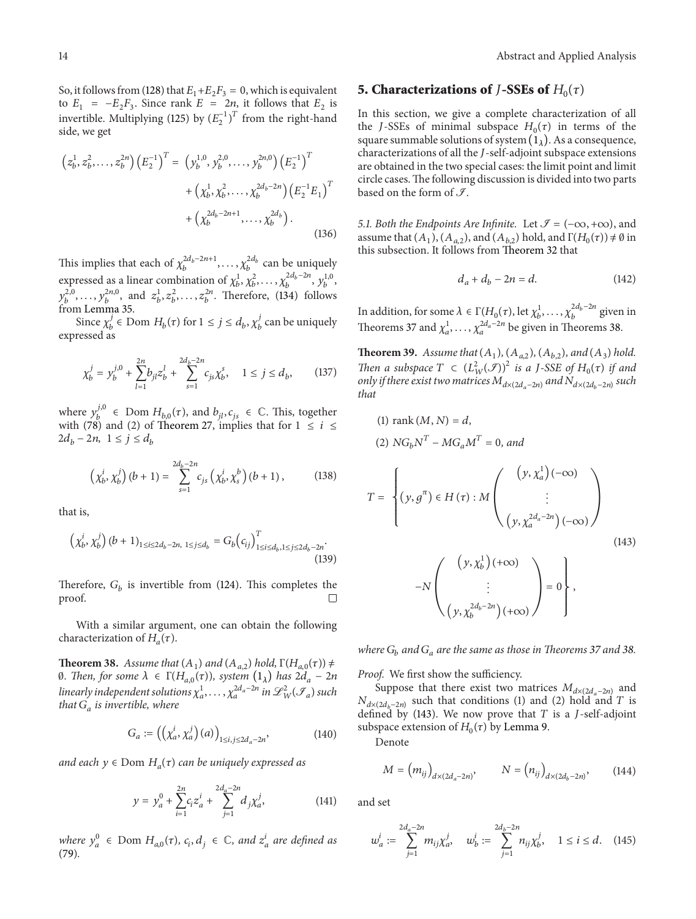So, it follows from (128) that  $E_1+E_2F_3 = 0$ , which is equivalent to  $E_1 = -E_2 F_3$ . Since rank  $E = 2n$ , it follows that  $E_2$  is invertible. Multiplying (125) by  $(E_2^{-1})^T$  from the right-hand side, we get

$$
\left(z_b^1, z_b^2, \dots, z_b^{2n}\right) \left(E_2^{-1}\right)^T = \left(y_b^{1,0}, y_b^{2,0}, \dots, y_b^{2n,0}\right) \left(E_2^{-1}\right)^T
$$

$$
+ \left(\chi_b^1, \chi_b^2, \dots, \chi_b^{2d_b - 2n}\right) \left(E_2^{-1}E_1\right)^T
$$

$$
+ \left(\chi_b^{2d_b - 2n + 1}, \dots, \chi_b^{2d_b}\right). \tag{136}
$$

This implies that each of  $\chi_b^{2d_b-2n+1}, \ldots, \chi_b^{2d_b}$  can be uniquely expressed as a linear combination of  $\chi_b^1, \chi_b^2, \ldots, \chi_b^{2d_b-2n}, \chi_b^{1,0}$  $y_b^{2,0}, \ldots, y_b^{2n,0}$ , and  $z_b^1, z_b^2, \ldots, z_b^{2n}$ . Therefore, (134) follows from Lemma 35.

Since  $\chi_b^j \in \text{Dom } H_b(\tau)$  for  $1 \le j \le d_b$ ,  $\chi_b^j$  can be uniquely expressed as

$$
\chi_b^j = y_b^{j,0} + \sum_{l=1}^{2n} b_{jl} z_b^l + \sum_{s=1}^{2d_b - 2n} c_{js} \chi_b^s, \quad 1 \le j \le d_b,
$$
 (137)

where  $y_b^{j,0} \in \text{Dom } H_{b,0}(\tau)$ , and  $b_{jl}, c_{js} \in \mathbb{C}$ . This, together with (78) and (2) of Theorem 27, implies that for  $1 \leq i \leq$  $2d_b - 2n, \ 1 \le j \le d_b$ 

$$
\left(\chi_b^i, \chi_b^j\right)(b+1) = \sum_{s=1}^{2d_b - 2n} c_{js} \left(\chi_b^i, \chi_s^b\right)(b+1), \tag{138}
$$

that is,

$$
\left(\chi_b^i, \chi_b^j\right) (b+1)_{1 \le i \le 2d_b - 2n, \ 1 \le j \le d_b} = G_b \left(c_{ij}\right)_{1 \le i \le d_b, 1 \le j \le 2d_b - 2n}^T.
$$
\n(139)

Therefore,  $G_b$  is invertible from (124). This completes the proof.

With a similar argument, one can obtain the following characterization of  $H_a(\tau)$ .

**Theorem 38.** *Assume that*  $(A_1)$  *and*  $(A_{a,2})$  *hold*,  $\Gamma(H_{a,0}(\tau)) \neq$ 0*.* Then, for some  $\lambda$  ∈ Γ( $H_{a,0}(\tau)$ ), system  $(1_{\lambda})$  has  $2d_a - 2n$ linearly independent solutions  $\chi_a^1,\ldots,\chi_a^{2d_a-2n}$  in  $\mathscr{L}^2_W(\mathscr{F}_a)$  such *that*  $G_a$  *is invertible, where* 

$$
G_a := ((\chi_a^i, \chi_a^j)(a))_{1 \le i, j \le 2d_a - 2n}, \tag{140}
$$

*and each*  $y \in$  Dom  $H_a(\tau)$  *can be uniquely expressed as* 

$$
y = y_a^0 + \sum_{i=1}^{2n} c_i z_a^i + \sum_{j=1}^{2d_a - 2n} d_j \chi_a^j,
$$
 (141)

*where*  $y_a^0 \in \text{Dom } H_{a,0}(\tau)$ ,  $c_i, d_j \in \mathbb{C}$ , and  $z_a^i$  are defined as (79)*.*

### **5. Characterizations of** *J***-SSEs of**  $H_0(\tau)$

In this section, we give a complete characterization of all the J-SSEs of minimal subspace  $H_0(\tau)$  in terms of the square summable solutions of system  $(1_{\lambda})$ . As a consequence, characterizations of all the J-self-adjoint subspace extensions are obtained in the two special cases: the limit point and limit circle cases.The following discussion is divided into two parts based on the form of  $\mathcal{I}$ .

*5.1. Both the Endpoints Are Infinite.* Let  $\mathcal{I} = (-\infty, +\infty)$ , and assume that  $(A_1)$ ,  $(A_{a2})$ , and  $(A_{b2})$  hold, and  $\Gamma(H_0(\tau)) \neq \emptyset$  in this subsection. It follows from Theorem 32 that

$$
d_a + d_b - 2n = d.\t(142)
$$

In addition, for some  $\lambda \in \Gamma(H_0(\tau), \text{ let } \chi_b^1, \ldots, \chi_b^{2d_b - 2n}$  given in Theorems 37 and  $\chi_a^1, \ldots, \chi_a^{2d_a - 2n}$  be given in Theorems 38.

**Theorem 39.** *Assume that*  $(A_1)$ *,*  $(A_{a,2})$ *,*  $(A_{b,2})$ *, and*  $(A_3)$  *hold. Then a subspace*  $T \subset (L^2_W(\mathcal{F}))^2$  *is a J-SSE of*  $H_0(\tau)$  *if and only if there exist two matrices*  $M_{d \times (2d_a - 2n)}$  *and*  $N_{d \times (2d_b - 2n)}$  *such that*

(1) rank 
$$
(M, N) = d
$$
,  
(2)  $NG_bN^T - MG_aM^T = 0$ , and

$$
T = \left\{ (y, g^{\pi}) \in H(\tau) : M \begin{pmatrix} (y, \chi_a^1)(-\infty) \\ \vdots \\ (y, \chi_a^{2d_a - 2n})(-\infty) \end{pmatrix} \right\}
$$
\n
$$
-N \begin{pmatrix} (y, \chi_b^1)(+\infty) \\ \vdots \\ (y, \chi_b^{2d_b - 2n})(+\infty) \end{pmatrix} = 0 \right\},
$$
\n(143)

*where*  $G_b$  and  $G_a$  are the same as those in Theorems 37 and 38.

 $\overline{y}$ 

*Proof.* We first show the sufficiency.

Suppose that there exist two matrices  $M_{d\times(2d_a-2n)}$  and  $N_{d \times (2d_h-2n)}$  such that conditions (1) and (2) hold and T is defined by (143). We now prove that  $T$  is a *J*-self-adjoint subspace extension of  $H_0(\tau)$  by Lemma 9.

Denote

$$
M = (m_{ij})_{d \times (2d_a - 2n)}, \qquad N = (n_{ij})_{d \times (2d_b - 2n)}, \qquad (144)
$$

and set

$$
w_a^i := \sum_{j=1}^{2d_a - 2n} m_{ij} \chi_a^j, \quad w_b^i := \sum_{j=1}^{2d_b - 2n} n_{ij} \chi_b^j, \quad 1 \le i \le d. \tag{145}
$$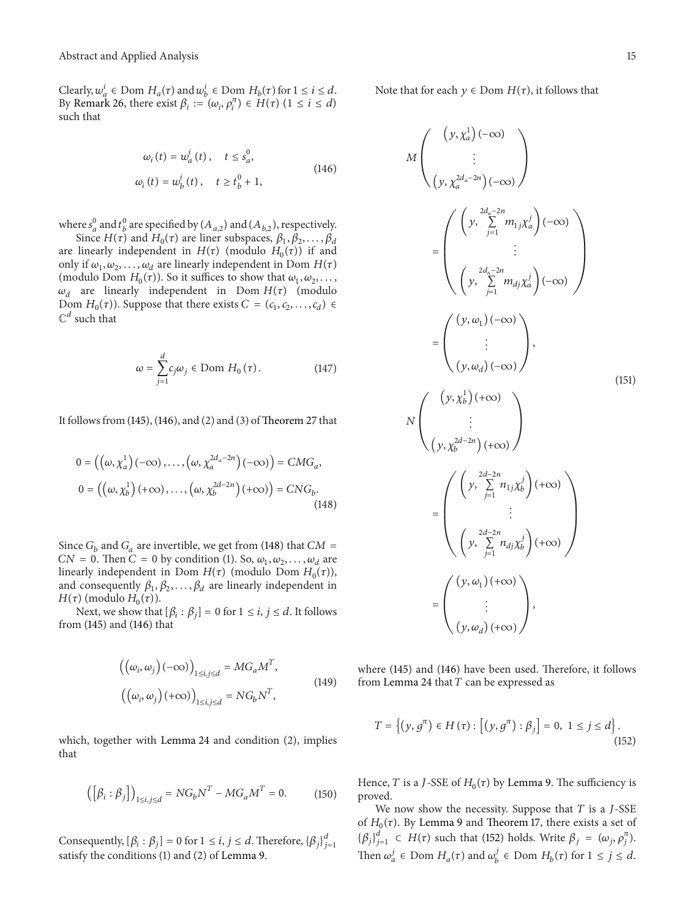Clearly,  $w_a^i \in \text{Dom } H_a(\tau)$  and  $w_b^i \in \text{Dom } H_b(\tau)$  for  $1 \le i \le d$ . By Remark 26, there exist  $\beta_i := (\omega_i, \rho_i^{\pi}) \in H(\tau)$   $(1 \le i \le d)$ such that

$$
\omega_i(t) = \omega_a^i(t), \quad t \le s_a^0,
$$
  

$$
\omega_i(t) = \omega_b^i(t), \quad t \ge t_b^0 + 1,
$$
 (146)

where  $s_a^0$  and  $t_b^0$  are specified by  $(A_{a,2})$  and  $(A_{b,2})$ , respectively.

Since  $H(\tau)$  and  $H_0(\tau)$  are liner subspaces,  $\beta_1, \beta_2, \ldots, \beta_d$ are linearly independent in  $H(\tau)$  (modulo  $H_0(\tau)$ ) if and only if  $\omega_1, \omega_2, \ldots, \omega_d$  are linearly independent in Dom  $H(\tau)$ (modulo Dom  $H_0(\tau)$ ). So it suffices to show that  $\omega_1, \omega_2, \ldots$ ,  $\omega_d$  are linearly independent in Dom  $H(\tau)$  (modulo Dom  $H_0(\tau)$ ). Suppose that there exists  $C = (c_1, c_2, \ldots, c_d)$  $\mathbb{C}^d$  such that

$$
\omega = \sum_{j=1}^{d} c_j \omega_j \in \text{Dom } H_0(\tau). \tag{147}
$$

It follows from  $(145)$ ,  $(146)$ , and  $(2)$  and  $(3)$  of Theorem 27 that

$$
0 = ((\omega, \chi_a^1) (-\infty), \dots, (\omega, \chi_a^{2d_a - 2n}) (-\infty)) = CMG_a,
$$
  

$$
0 = ((\omega, \chi_b^1) (+\infty), \dots, (\omega, \chi_b^{2d - 2n}) (+\infty)) = CNG_b.
$$
 (148)

Since  $G_b$  and  $G_a$  are invertible, we get from (148) that  $CM =$  $CN = 0$ . Then  $C = 0$  by condition (1). So,  $\omega_1, \omega_2, \ldots, \omega_d$  are linearly independent in Dom  $H(\tau)$  (modulo Dom  $H_0(\tau)$ ), and consequently  $\beta_1, \beta_2, \ldots, \beta_d$  are linearly independent in  $H(\tau)$  (modulo  $H_0(\tau)$ ).

Next, we show that  $[\beta_i : \beta_j] = 0$  for  $1 \le i, j \le d$ . It follows from (145) and (146) that

$$
\left( \left( \omega_i, \omega_j \right) (-\infty) \right)_{1 \le i, j \le d} = MG_a M^T,
$$
\n
$$
\left( \left( \omega_i, \omega_j \right) (+\infty) \right)_{1 \le i, j \le d} = NG_b N^T,
$$
\n(149)

which, together with Lemma 24 and condition (2), implies that

$$
\left( \left[ \beta_i : \beta_j \right] \right)_{1 \le i,j \le d} = NG_b N^T - MG_a M^T = 0. \tag{150}
$$

Consequently,  $[\beta_i : \beta_j] = 0$  for  $1 \le i, j \le d$ . Therefore,  $\{\beta_j\}_{j=1}^d$ satisfy the conditions (1) and (2) of Lemma 9.

Note that for each  $y \in Dom H(\tau)$ , it follows that

$$
M\left(\begin{array}{c} (y, \chi_a^1)(-\infty) \\ \vdots \\ (y, \chi_a^{2d_a - 2n})(-\infty) \end{array}\right)
$$
  
\n
$$
= \left(\begin{array}{c} \left(y, \sum_{j=1}^{2d_a - 2n} m_{1j} \chi_a^j\right)(-\infty) \\ \vdots \\ (y, \sum_{j=1}^{2d_a - 2n} m_{dj} \chi_a^j)(-\infty) \end{array}\right)
$$
  
\n
$$
= \left(\begin{array}{c} (y, \omega_1)(-\infty) \\ \vdots \\ (y, \omega_d)(-\infty) \end{array}\right),
$$
  
\n
$$
N\left(\begin{array}{c} \vdots \\ \vdots \\ (y, \chi_b^{2d - 2n})(+\infty) \end{array}\right)
$$
  
\n
$$
= \left(\begin{array}{c} \left(y, \sum_{j=1}^{2d - 2n} n_{1j} \chi_b^j\right)(+\infty) \\ \vdots \\ (y, \sum_{j=1}^{2d - 2n} n_{dj} \chi_b^j)(+\infty) \end{array}\right)
$$
  
\n
$$
= \left(\begin{array}{c} (y, \omega_1)(+\infty) \\ \vdots \\ (y, \omega_d)(+\infty) \end{array}\right),
$$
  
\n(151)

where (145) and (146) have been used. Therefore, it follows from Lemma 24 that  $T$  can be expressed as

$$
T = \left\{ (y, g^{\pi}) \in H(\tau) : \left[ (y, g^{\pi}) : \beta_j \right] = 0, 1 \le j \le d \right\}.
$$
\n(152)

Hence, T is a J-SSE of  $H_0(\tau)$  by Lemma 9. The sufficiency is proved.

We now show the necessity. Suppose that  $T$  is a  $J$ -SSE of  $H_0(\tau)$ . By Lemma 9 and Theorem 17, there exists a set of  $\{\beta_j\}_{j=1}^d \subset H(\tau)$  such that (152) holds. Write  $\beta_j = (\omega_j, \rho_j^{\pi})$ . Then  $\omega_a^j \in \text{Dom } H_a(\tau)$  and  $\omega_b^j \in \text{Dom } H_b(\tau)$  for  $1 \le j \le d$ .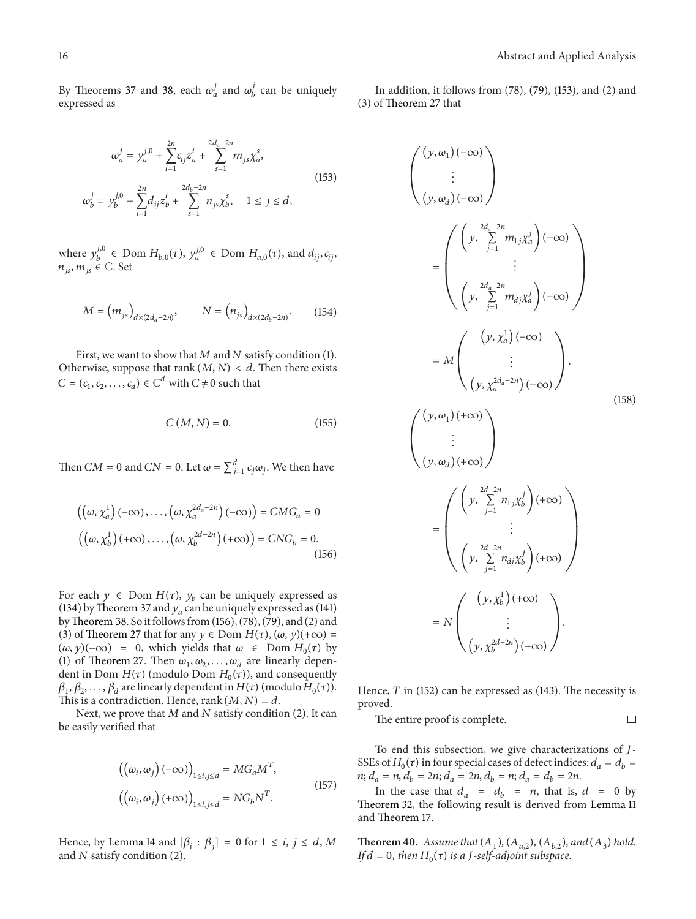By Theorems 37 and 38, each  $\omega_a^j$  and  $\omega_b^j$  can be uniquely expressed as

$$
\omega_a^j = y_a^{j,0} + \sum_{i=1}^{2n} c_{ij} z_a^i + \sum_{s=1}^{2d_a - 2n} m_{js} \chi_a^s,
$$
  

$$
\omega_b^j = y_b^{j,0} + \sum_{i=1}^{2n} d_{ij} z_b^i + \sum_{s=1}^{2d_b - 2n} n_{js} \chi_b^s, \quad 1 \le j \le d,
$$
 (153)

where  $y_b^{j,0} \in \text{Dom } H_{b,0}(\tau)$ ,  $y_a^{j,0} \in \text{Dom } H_{a,0}(\tau)$ , and  $d_{ij}, c_{ij}$ ,  $n_{is}$ ,  $m_{is} \in \mathbb{C}$ . Set

$$
M = (m_{js})_{d \times (2d_a - 2n)}, \qquad N = (n_{js})_{d \times (2d_b - 2n)}.
$$
 (154)

First, we want to show that  $M$  and  $N$  satisfy condition (1). Otherwise, suppose that rank  $(M, N) < d$ . Then there exists  $C = (c_1, c_2, \ldots, c_d) \in \mathbb{C}^d$  with  $C \neq 0$  such that

$$
C\left(M,N\right)=0.\tag{155}
$$

Then  $CM = 0$  and  $CN = 0$ . Let  $\omega = \sum_{j=1}^{d} c_j \omega_j$ . We then have

$$
\left(\left(\omega, \chi_a^1\right)(-\infty), \ldots, \left(\omega, \chi_a^{2d_a - 2n}\right)(-\infty)\right) = CMG_a = 0
$$

$$
\left(\left(\omega, \chi_b^1\right)(+\infty), \ldots, \left(\omega, \chi_b^{2d - 2n}\right)(+\infty)\right) = CNG_b = 0.
$$
(156)

For each  $y \in$  Dom  $H(\tau)$ ,  $y_b$  can be uniquely expressed as (134) by Theorem 37 and  $y_a$  can be uniquely expressed as (141) byTheorem 38. So it follows from (156), (78), (79), and (2) and (3) of Theorem 27 that for any  $y \in Dom H(\tau)$ ,  $(\omega, y)(+\infty) =$  $(\omega, y)(-\infty) = 0$ , which yields that  $\omega \in$  Dom  $H_0(\tau)$  by (1) of Theorem 27. Then  $\omega_1, \omega_2, \ldots, \omega_d$  are linearly dependent in Dom  $H(\tau)$  (modulo Dom  $H_0(\tau)$ ), and consequently  $\beta_1, \beta_2, \ldots, \beta_d$  are linearly dependent in  $H(\tau)$  (modulo  $H_0(\tau)$ ). This is a contradiction. Hence, rank  $(M, N) = d$ .

Next, we prove that  $M$  and  $N$  satisfy condition (2). It can be easily verified that

$$
\left( \left( \omega_i, \omega_j \right) (-\infty) \right)_{1 \le i, j \le d} = MG_a M^T,
$$
\n
$$
\left( \left( \omega_i, \omega_j \right) (+\infty) \right)_{1 \le i, j \le d} = NG_b N^T.
$$
\n(157)

Hence, by Lemma 14 and  $[\beta_i : \beta_j] = 0$  for  $1 \le i, j \le d, M$ and  $N$  satisfy condition (2).

In addition, it follows from (78), (79), (153), and (2) and (3) of Theorem 27 that

$$
\begin{pmatrix}\n(y, \omega_1)(-\infty) \\
\vdots \\
(y, \omega_d)(-\infty)\n\end{pmatrix}
$$
\n=\n
$$
\begin{pmatrix}\n\left(y, \sum_{j=1}^{2d_a - 2n} m_{1j} \chi_a^j\right)(-\infty) \\
\vdots \\
\left(y, \sum_{j=1}^{2d_a - 2n} m_{dj} \chi_a^j\right)(-\infty)\n\end{pmatrix}
$$
\n=\n
$$
M\n\begin{pmatrix}\n(y, \chi_a^1)(-\infty) \\
\vdots \\
(y, \chi_a^{2d_a - 2n})(-\infty)\n\end{pmatrix},
$$
\n(158)\n
$$
\begin{pmatrix}\n(y, \omega_1)(+\infty) \\
\vdots \\
(y, \omega_d)(+\infty)\n\end{pmatrix}
$$
\n=\n
$$
\begin{pmatrix}\n\left(y, \sum_{j=1}^{2d-2n} n_{1j} \chi_b^j\right)(+\infty) \\
\vdots \\
\left(y, \sum_{j=1}^{2d-2n} n_{dj} \chi_b^j\right)(+\infty)\n\end{pmatrix}
$$
\n=\n
$$
N\n\begin{pmatrix}\n(y, \chi_b^1)(+\infty) \\
\vdots \\
(y, \chi_b^{2d-2n})(+\infty)\n\end{pmatrix}.
$$

Hence,  $T$  in (152) can be expressed as (143). The necessity is proved.

The entire proof is complete.  $\Box$ 

To end this subsection, we give characterizations of J-SSEs of  $H_0(\tau)$  in four special cases of defect indices:  $d_a = d_b =$  $n; d_a = n, d_b = 2n; d_a = 2n, d_b = n; d_a = d_b = 2n.$ 

In the case that  $d_a = d_b = n$ , that is,  $d = 0$  by Theorem 32, the following result is derived from Lemma 11 and Theorem 17.

**Theorem 40.** Assume that  $(A_1)$ ,  $(A_{a,2})$ ,  $(A_{b,2})$ , and  $(A_3)$  hold. *If*  $d = 0$ *, then*  $H_0(\tau)$  *is a J*-self-adjoint subspace.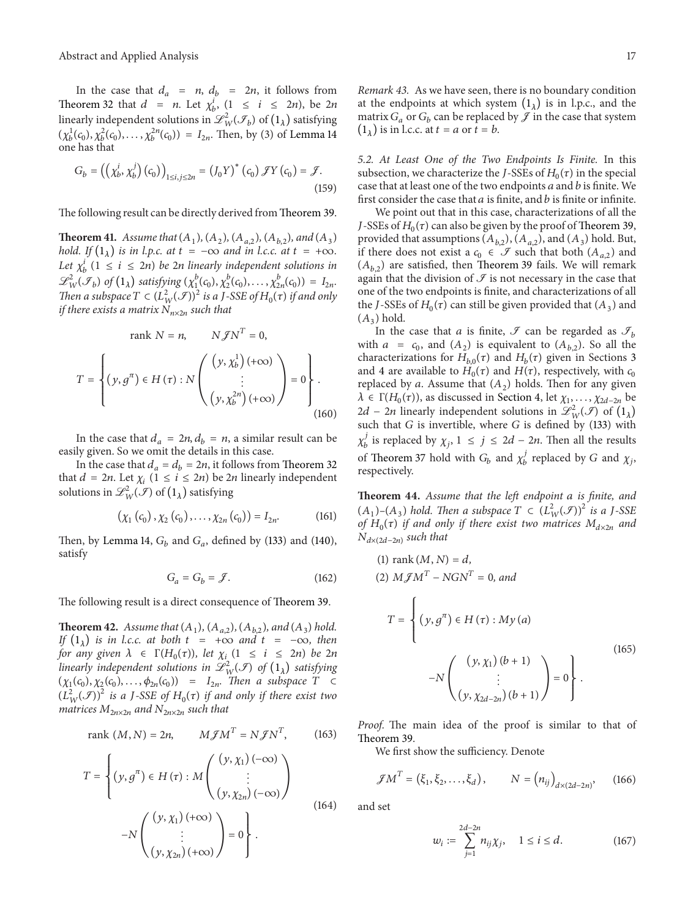In the case that  $d_a = n$ ,  $d_b = 2n$ , it follows from Theorem 32 that  $d = n$ . Let  $\chi_b^i$ ,  $(1 \le i \le 2n)$ , be  $2n$ linearly independent solutions in  $\mathscr{L}^2_W(\mathscr{I}_b)$  of  $(1_\lambda)$  satisfying  $(\chi_b^1(c_0), \chi_b^2(c_0), \ldots, \chi_b^{2n}(c_0)) = I_{2n}$ . Then, by (3) of Lemma 14 one has that

$$
G_b = ((\chi_b^i, \chi_b^j)(c_0))_{1 \le i,j \le 2n} = (J_0 Y)^*(c_0) \mathcal{J}Y(c_0) = \mathcal{J}.
$$
\n(159)

The following result can be directly derived from Theorem 39.

**Theorem 41.** *Assume that*  $(A_1)$ *,*  $(A_2)$ *,*  $(A_{a,2})$ *,*  $(A_{b,2})$ *, and*  $(A_3)$ *hold.* If  $(1_{\lambda})$  *is in l.p.c. at*  $t = -\infty$  *and in l.c.c. at*  $t = +\infty$ *. Let*  $\chi_b^i$  (1  $\leq i \leq 2n$ ) *be* 2*n* linearly independent solutions in  $\mathscr{L}_{W}^{2}(\mathscr{I}_{b})$  of  $(1_{\lambda})$  satisfying  $(\chi_{1}^{b}(c_{0}), \chi_{2}^{b}(c_{0}), \ldots, \chi_{2n}^{b}(c_{0})) = I_{2n}$ . *Then a subspace*  $T \subset (L^2_W(\mathcal{F}))^2$  *is a J-SSE of*  $H_0(\tau)$  *if and only if there exists a matrix*  $N_{n \times 2n}$  *such that* 

$$
\text{rank } N = n, \qquad N \mathcal{J} N^T = 0,
$$
\n
$$
T = \left\{ (y, g^T) \in H(\tau) : N \begin{pmatrix} (y, \chi_b^1) \, (+\infty) \\ \vdots \\ (y, \chi_b^{2n}) \, (+\infty) \end{pmatrix} = 0 \right\}.
$$
\n(160)

In the case that  $d_a = 2n$ ,  $d_b = n$ , a similar result can be easily given. So we omit the details in this case.

In the case that  $d_a = d_b = 2n$ , it follows from Theorem 32 that  $d = 2n$ . Let  $\chi_i$   $(1 \le i \le 2n)$  be  $2n$  linearly independent solutions in  $\mathscr{L}_{W}^{2}(\mathscr{I})$  of  $(1_{\lambda})$  satisfying

$$
(\chi_1(c_0), \chi_2(c_0), \ldots, \chi_{2n}(c_0)) = I_{2n}.
$$
 (161)

Then, by Lemma 14,  $G_b$  and  $G_a$ , defined by (133) and (140), satisfy

$$
G_a = G_b = \mathcal{J}.\tag{162}
$$

The following result is a direct consequence of Theorem 39.

**Theorem 42.** *Assume that*  $(A_1)$ *,*  $(A_{a,2})$ *,*  $(A_{b,2})$ *, and*  $(A_3)$  *hold. If*  $(1_\lambda)$  *is in l.c.c. at both*  $t = +\infty$  *and*  $t = -\infty$ *, then for any given*  $\lambda \in \Gamma(H_0(\tau))$ *, let*  $\chi_i$  (1  $\leq i \leq 2n$ ) *be* 2*n* linearly independent solutions in  $\mathscr{L}^2_W(\mathcal{F})$  of  $(1_\lambda)$  satisfying  $(\chi_1(c_0), \chi_2(c_0), \ldots, \phi_{2n}(c_0)) = I_{2n}$ . Then a subspace  $T \subset$  $(L^2_W(\mathcal{F}))^2$  *is a J-SSE of*  $H_0(\tau)$  *if and only if there exist two matrices*  $M_{2n \times 2n}$  *and*  $N_{2n \times 2n}$  *such that* 

rank 
$$
(M, N) = 2n
$$
,  $M \mathscr{J} M^T = N \mathscr{J} N^T$ , (163)

$$
T = \left\{ (y, g^{\pi}) \in H(\tau) : M \begin{pmatrix} (y, \chi_1)(-\infty) \\ \vdots \\ (y, \chi_{2n})(-\infty) \end{pmatrix} -N \begin{pmatrix} (y, \chi_1)(+\infty) \\ \vdots \\ (y, \chi_{2n})(+\infty) \end{pmatrix} = 0 \right\}.
$$
 (164)

*5.2. At Least One of the Two Endpoints Is Finite.* In this subsection, we characterize the *J*-SSEs of  $H_0(\tau)$  in the special case that at least one of the two endpoints  $a$  and  $b$  is finite. We first consider the case that  $a$  is finite, and  $b$  is finite or infinite.

We point out that in this case, characterizations of all the *J*-SSEs of  $H_0(\tau)$  can also be given by the proof of Theorem 39, provided that assumptions  $(A_{b,2})$ ,  $(A_{a,2})$ , and  $(A_3)$  hold. But, if there does not exist a  $c_0 \in \mathcal{I}$  such that both  $(A_{a,2})$  and  $(A_{h2})$  are satisfied, then Theorem 39 fails. We will remark again that the division of  $\mathcal I$  is not necessary in the case that one of the two endpoints is finite, and characterizations of all the *J*-SSEs of  $H_0(\tau)$  can still be given provided that  $(A_3)$  and  $(A_3)$  hold.

In the case that *a* is finite, *J* can be regarded as  $\mathcal{I}_b$ with  $a = c_0$ , and  $(A_2)$  is equivalent to  $(A_{b,2})$ . So all the characterizations for  $H_{b,0}(\tau)$  and  $H_b(\tau)$  given in Sections 3 and 4 are available to  $H_0(\tau)$  and  $H(\tau)$ , respectively, with  $c_0$ replaced by a. Assume that  $(A_2)$  holds. Then for any given  $\lambda \in \Gamma(H_0(\tau))$ , as discussed in Section 4, let  $\chi_1, \ldots, \chi_{2d-2n}$  be 2d – 2n linearly independent solutions in  $\mathscr{L}_{W}^{2}(\mathscr{I})$  of  $(1_{\lambda})$ such that  $G$  is invertible, where  $G$  is defined by (133) with  $\chi_b^j$  is replaced by  $\chi_j$ ,  $1 \leq j \leq 2d - 2n$ . Then all the results of Theorem 37 hold with  $G_b$  and  $\chi_b^j$  replaced by G and  $\chi_j$ . respectively.

**Theorem 44.** *Assume that the left endpoint is finite, and*  $(A_1)$ – $(A_3)$  *hold. Then a subspace*  $T \subset (L^2_W(\mathcal{F}))^2$  *is a J*-SSE *of*  $H_0(\tau)$  *if and only if there exist two matrices*  $M_{d \times 2n}$  *and*  $N_{d\times(2d-2n)}$  *such that* 

(1) rank 
$$
(M, N) = d
$$
,  
\n(2)  $M \mathcal{J} M^T - N G N^T = 0$ , and  
\n
$$
T = \begin{cases} (y, g^{\pi}) \in H(\tau) : My (a) \\ \vdots \\ (y, \chi_1) (b+1) \\ \vdots \\ (y, \chi_{2d-2n}) (b+1) \end{cases} = 0 \qquad (165)
$$

*Proof.* The main idea of the proof is similar to that of Theorem 39.

We first show the sufficiency. Denote

$$
\mathcal{J}M^T = (\xi_1, \xi_2, \dots, \xi_d), \qquad N = (n_{ij})_{d \times (2d-2n)}, \qquad (166)
$$

and set

$$
w_i := \sum_{j=1}^{2d-2n} n_{ij} \chi_j, \quad 1 \le i \le d. \tag{167}
$$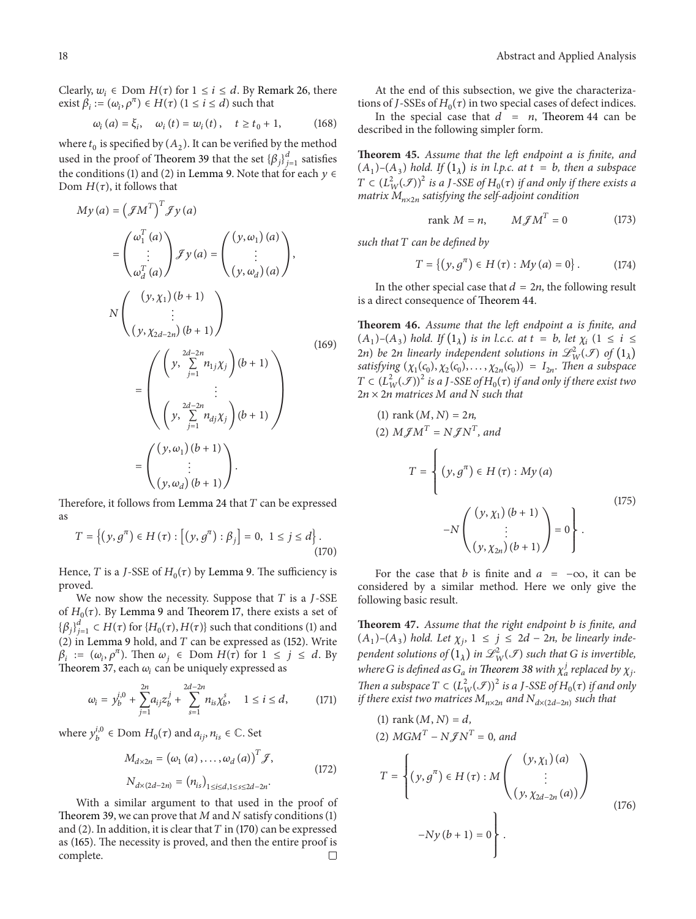Clearly,  $w_i \in \text{Dom } H(\tau)$  for  $1 \leq i \leq d$ . By Remark 26, there exist  $\beta_i := (\omega_i, \rho^{\pi}) \in H(\tau)$   $(1 \le i \le d)$  such that

$$
\omega_i(a) = \xi_i, \quad \omega_i(t) = \omega_i(t), \quad t \ge t_0 + 1,
$$
\n(168)

where  $t_0$  is specified by  $(A_2)$ . It can be verified by the method used in the proof of Theorem 39 that the set  $\left\{\beta_j\right\}_{j=1}^d$  satisfies the conditions (1) and (2) in Lemma 9. Note that for each  $y \in$ Dom  $H(\tau)$ , it follows that

$$
My (a) = ( \mathcal{J} M^T )^T \mathcal{J} y (a)
$$
  
\n
$$
= \begin{pmatrix} \omega_1^T (a) \\ \vdots \\ \omega_d^T (a) \end{pmatrix} \mathcal{J} y (a) = \begin{pmatrix} (y, \omega_1) (a) \\ \vdots \\ (y, \omega_d) (a) \end{pmatrix},
$$
  
\n
$$
N \begin{pmatrix} (y, \chi_1) (b + 1) \\ \vdots \\ (y, \chi_{2d-2n}) (b + 1) \end{pmatrix}
$$
  
\n
$$
= \begin{pmatrix} \begin{pmatrix} 2d-2n \\ y, \sum_{j=1}^{2d-2n} n_{1j} \chi_j \end{pmatrix} (b + 1) \\ \vdots \\ (y, \sum_{j=1}^{2d-2n} n_{dj} \chi_j) (b + 1) \end{pmatrix}
$$
  
\n
$$
= \begin{pmatrix} (y, \omega_1) (b + 1) \\ \vdots \\ (y, \omega_d) (b + 1) \end{pmatrix}.
$$
 (169)

Therefore, it follows from Lemma 24 that  $T$  can be expressed as

$$
T = \left\{ (y, g^{\pi}) \in H(\tau) : \left[ (y, g^{\pi}) : \beta_j \right] = 0, 1 \le j \le d \right\}.
$$
\n(170)

Hence, T is a J-SSE of  $H_0(\tau)$  by Lemma 9. The sufficiency is proved.

We now show the necessity. Suppose that  $T$  is a  $J$ -SSE of  $H_0(\tau)$ . By Lemma 9 and Theorem 17, there exists a set of  $\{\beta_j\}_{j=1}^d \subset H(\tau)$  for  $\{H_0(\tau), H(\tau)\}$  such that conditions (1) and (2) in Lemma 9 hold, and  $T$  can be expressed as (152). Write  $\beta_i := (\omega_i, \rho^{\pi})$ . Then  $\omega_j \in \text{Dom } H(\tau)$  for  $1 \leq j \leq d$ . By Theorem 37, each  $\omega_i$  can be uniquely expressed as

$$
\omega_i = y_b^{i,0} + \sum_{j=1}^{2n} a_{ij} z_b^j + \sum_{s=1}^{2d-2n} n_{is} \chi_b^s, \quad 1 \le i \le d,
$$
 (171)

where  $y_b^{i,0} \in \text{Dom } H_0(\tau)$  and  $a_{ij}, n_{is} \in \mathbb{C}$ . Set

$$
M_{d \times 2n} = (\omega_1(a), \dots, \omega_d(a))^T \mathcal{F},
$$
  
\n
$$
N_{d \times (2d-2n)} = (n_{is})_{1 \le i \le d, 1 \le s \le 2d-2n}.
$$
\n(172)

With a similar argument to that used in the proof of Theorem 39, we can prove that  $M$  and  $N$  satisfy conditions (1) and (2). In addition, it is clear that  $T$  in (170) can be expressed as (165). The necessity is proved, and then the entire proof is complete.  $\Box$ 

At the end of this subsection, we give the characterizations of J-SSEs of  $H_0(\tau)$  in two special cases of defect indices.

In the special case that  $d = n$ , Theorem 44 can be described in the following simpler form.

**Theorem 45.** *Assume that the left endpoint is finite, and*  $(A_1)$ – $(A_3)$  *hold.* If  $(1_\lambda)$  *is in l.p.c. at*  $t = b$ *, then a subspace*  $T \in (L^2_W(\mathcal{F}))^2$  is a J-SSE of  $H_0(\tau)$  if and only if there exists a *matrix*  $M_{n \times 2n}$  *satisfying the self-adjoint condition* 

$$
rank M = n, \qquad M \mathcal{J} M^T = 0 \tag{173}
$$

*such that can be defined by*

$$
T = \{(y, g^{\pi}) \in H(\tau) : My (a) = 0\}.
$$
 (174)

In the other special case that  $d = 2n$ , the following result is a direct consequence of Theorem 44.

**Theorem 46.** *Assume that the left endpoint is finite, and*  $(A_1)$ – $(A_3)$  *hold.* If  $(1_\lambda)$  *is in l.c.c. at*  $t = b$ , let  $\chi_i$   $(1 \le i \le n)$ 2n) be 2n linearly independent solutions in  $\mathscr{L}_{W}^{2}(\mathscr{F})$  of  $(1_{\lambda})$ *satisfying*  $(\chi_1(c_0), \chi_2(c_0), \ldots, \chi_{2n}(c_0)) = I_{2n}$ . Then a subspace  $T \in (L^2_W(\mathcal{F}))^2$  is a J-SSE of  $H_0(\tau)$  if and only if there exist two  $2n \times 2n$  matrices M and N such that

(1) rank 
$$
(M, N) = 2n
$$
,  
\n(2)  $M \mathcal{J} M^T = N \mathcal{J} N^T$ , and  
\n
$$
T = \begin{cases} (y, g^{\pi}) \in H(\tau) : My (a) \\ \vdots \\ (y, \chi_1) (b+1) \\ \vdots \\ (y, \chi_{2n}) (b+1) \end{cases} = 0 \qquad (175)
$$

For the case that *b* is finite and  $a = -\infty$ , it can be considered by a similar method. Here we only give the following basic result.

**Theorem 47.** *Assume that the right endpoint is finite, and*  $(A_1)$ – $(A_3)$  *hold. Let*  $\chi_i$ ,  $1 \leq j \leq 2d$  – 2*n*, *be linearly inde*pendent solutions of  $(1_\lambda)$  in  $\mathscr{L}^2_\mathsf{W}(\mathscr{I})$  such that  $G$  is invertible, where G is defined as  $G_a$  in Theorem 38 with  $\chi_a^j$  replaced by  $\chi_j$ . *Then a subspace*  $T \subset (L^2_W(\mathcal{F}))^2$  *is a J-SSE of*  $H_0(\tau)$  *if and only if there exist two matrices*  $M_{n\times 2n}$  *and*  $N_{d\times (2d-2n)}$  *such that* 

(1) rank 
$$
(M, N) = d
$$
,  
\n(2)  $MGM^{T} - N \mathcal{J} N^{T} = 0$ , and  
\n
$$
T = \begin{cases} (y, g^{\pi}) \in H(\tau) : M \begin{pmatrix} (y, \chi_{1})(a) \\ \vdots \\ (y, \chi_{2d-2n}(a)) \end{pmatrix} \\ -Ny(b+1) = 0 \end{cases}
$$
\n(176)